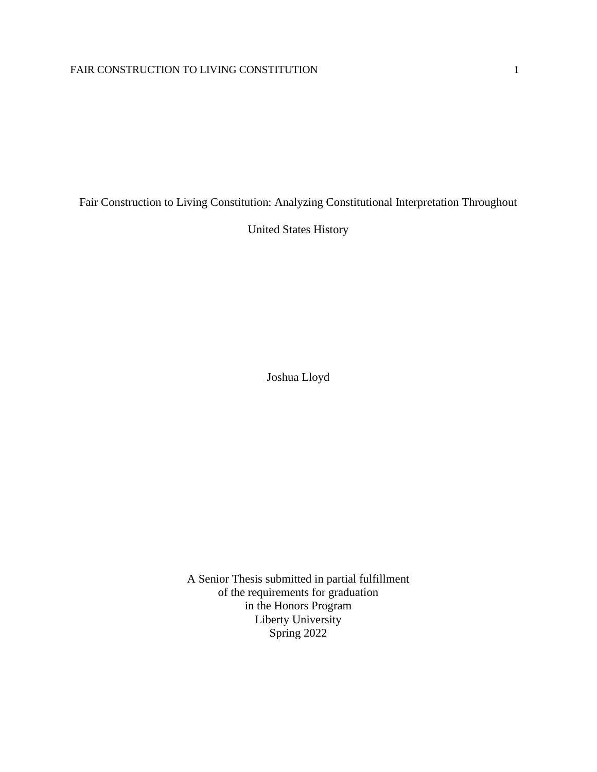Fair Construction to Living Constitution: Analyzing Constitutional Interpretation Throughout

United States History

Joshua Lloyd

A Senior Thesis submitted in partial fulfillment of the requirements for graduation in the Honors Program Liberty University Spring 2022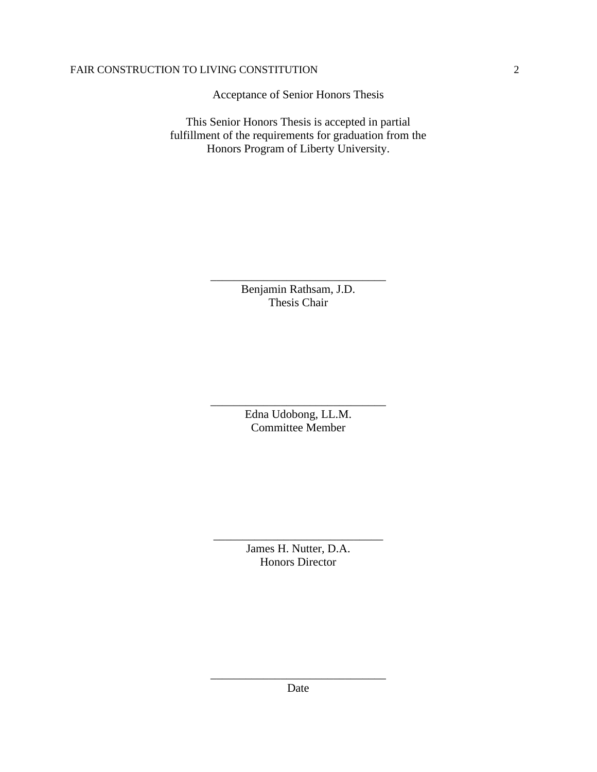Acceptance of Senior Honors Thesis

This Senior Honors Thesis is accepted in partial fulfillment of the requirements for graduation from the Honors Program of Liberty University.

> Benjamin Rathsam, J.D. Thesis Chair

\_\_\_\_\_\_\_\_\_\_\_\_\_\_\_\_\_\_\_\_\_\_\_\_\_\_\_\_\_\_

Edna Udobong, LL.M. Committee Member

\_\_\_\_\_\_\_\_\_\_\_\_\_\_\_\_\_\_\_\_\_\_\_\_\_\_\_\_\_\_

James H. Nutter, D.A. Honors Director

\_\_\_\_\_\_\_\_\_\_\_\_\_\_\_\_\_\_\_\_\_\_\_\_\_\_\_\_\_

\_\_\_\_\_\_\_\_\_\_\_\_\_\_\_\_\_\_\_\_\_\_\_\_\_\_\_\_\_\_ Date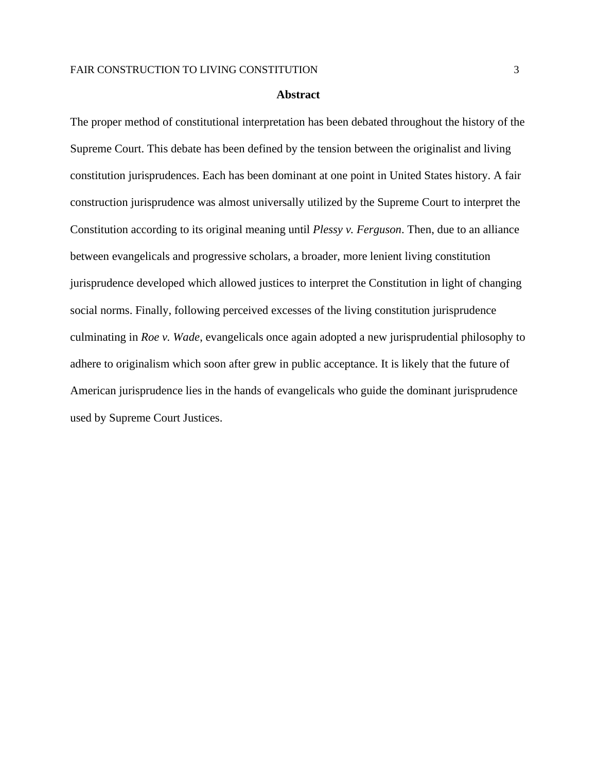#### **Abstract**

The proper method of constitutional interpretation has been debated throughout the history of the Supreme Court. This debate has been defined by the tension between the originalist and living constitution jurisprudences. Each has been dominant at one point in United States history. A fair construction jurisprudence was almost universally utilized by the Supreme Court to interpret the Constitution according to its original meaning until *Plessy v. Ferguson*. Then, due to an alliance between evangelicals and progressive scholars, a broader, more lenient living constitution jurisprudence developed which allowed justices to interpret the Constitution in light of changing social norms. Finally, following perceived excesses of the living constitution jurisprudence culminating in *Roe v. Wade*, evangelicals once again adopted a new jurisprudential philosophy to adhere to originalism which soon after grew in public acceptance. It is likely that the future of American jurisprudence lies in the hands of evangelicals who guide the dominant jurisprudence used by Supreme Court Justices.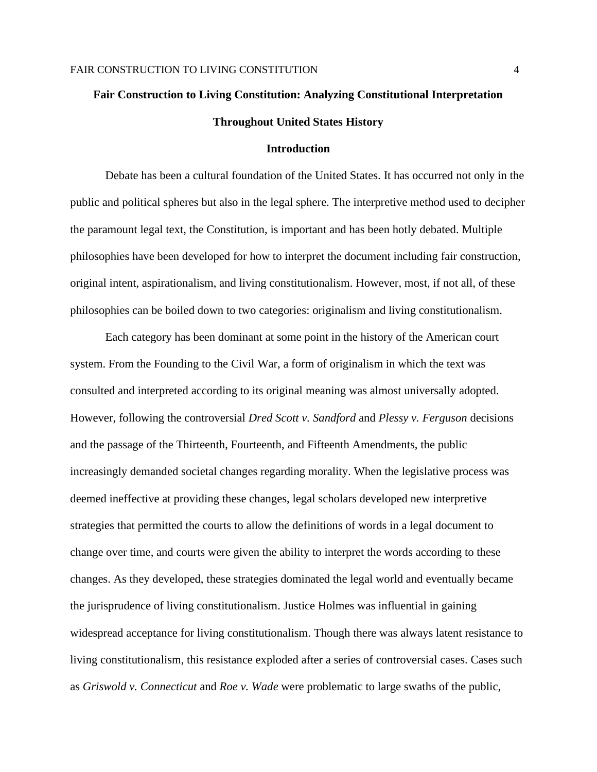# **Fair Construction to Living Constitution: Analyzing Constitutional Interpretation Throughout United States History**

#### **Introduction**

Debate has been a cultural foundation of the United States. It has occurred not only in the public and political spheres but also in the legal sphere. The interpretive method used to decipher the paramount legal text, the Constitution, is important and has been hotly debated. Multiple philosophies have been developed for how to interpret the document including fair construction, original intent, aspirationalism, and living constitutionalism. However, most, if not all, of these philosophies can be boiled down to two categories: originalism and living constitutionalism.

Each category has been dominant at some point in the history of the American court system. From the Founding to the Civil War, a form of originalism in which the text was consulted and interpreted according to its original meaning was almost universally adopted. However, following the controversial *Dred Scott v. Sandford* and *Plessy v. Ferguson* decisions and the passage of the Thirteenth, Fourteenth, and Fifteenth Amendments, the public increasingly demanded societal changes regarding morality. When the legislative process was deemed ineffective at providing these changes, legal scholars developed new interpretive strategies that permitted the courts to allow the definitions of words in a legal document to change over time, and courts were given the ability to interpret the words according to these changes. As they developed, these strategies dominated the legal world and eventually became the jurisprudence of living constitutionalism. Justice Holmes was influential in gaining widespread acceptance for living constitutionalism. Though there was always latent resistance to living constitutionalism, this resistance exploded after a series of controversial cases. Cases such as *Griswold v. Connecticut* and *Roe v. Wade* were problematic to large swaths of the public,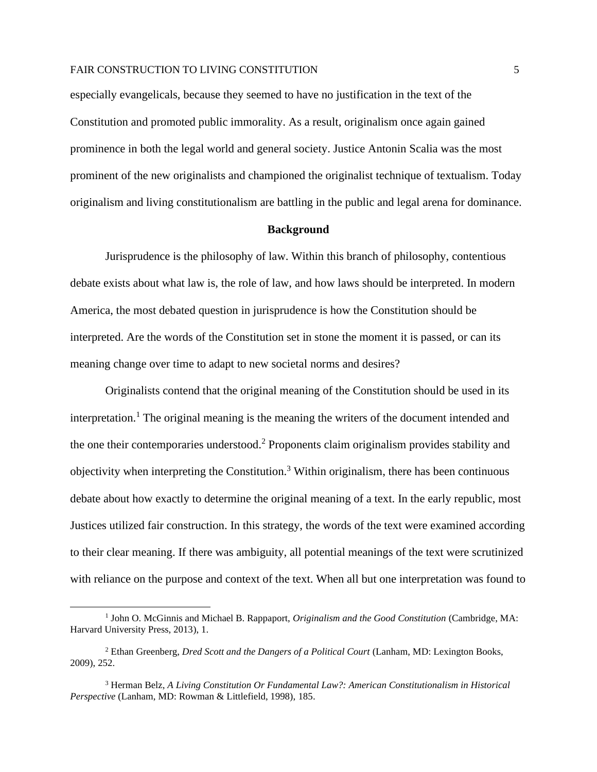especially evangelicals, because they seemed to have no justification in the text of the Constitution and promoted public immorality. As a result, originalism once again gained prominence in both the legal world and general society. Justice Antonin Scalia was the most prominent of the new originalists and championed the originalist technique of textualism. Today originalism and living constitutionalism are battling in the public and legal arena for dominance.

#### **Background**

Jurisprudence is the philosophy of law. Within this branch of philosophy, contentious debate exists about what law is, the role of law, and how laws should be interpreted. In modern America, the most debated question in jurisprudence is how the Constitution should be interpreted. Are the words of the Constitution set in stone the moment it is passed, or can its meaning change over time to adapt to new societal norms and desires?

Originalists contend that the original meaning of the Constitution should be used in its interpretation. <sup>1</sup> The original meaning is the meaning the writers of the document intended and the one their contemporaries understood.<sup>2</sup> Proponents claim originalism provides stability and objectivity when interpreting the Constitution.<sup>3</sup> Within originalism, there has been continuous debate about how exactly to determine the original meaning of a text. In the early republic, most Justices utilized fair construction. In this strategy, the words of the text were examined according to their clear meaning. If there was ambiguity, all potential meanings of the text were scrutinized with reliance on the purpose and context of the text. When all but one interpretation was found to

<sup>&</sup>lt;sup>1</sup> John O. McGinnis and Michael B. Rappaport, *Originalism and the Good Constitution* (Cambridge, MA: Harvard University Press, 2013), 1.

<sup>2</sup> Ethan Greenberg, *Dred Scott and the Dangers of a Political Court* (Lanham, MD: Lexington Books, 2009), 252.

<sup>3</sup> Herman Belz, *A Living Constitution Or Fundamental Law?: American Constitutionalism in Historical Perspective* (Lanham, MD: Rowman & Littlefield, 1998), 185.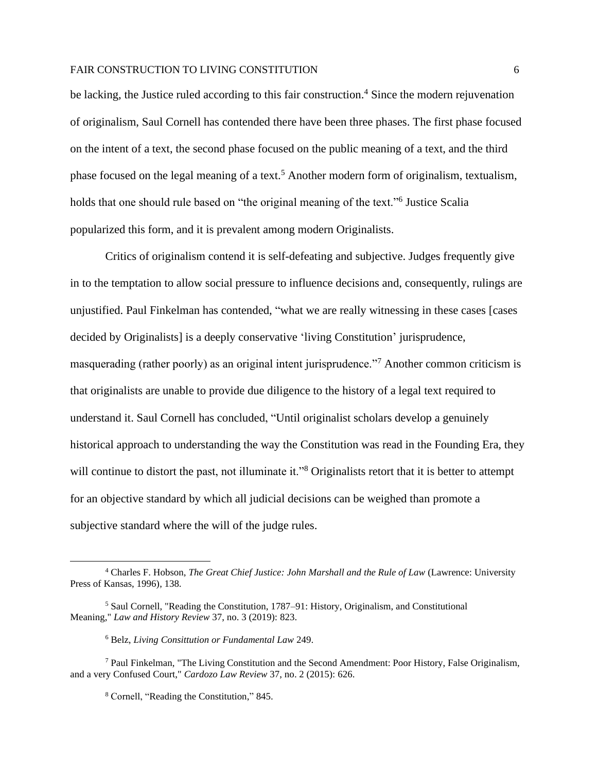be lacking, the Justice ruled according to this fair construction.<sup>4</sup> Since the modern rejuvenation of originalism, Saul Cornell has contended there have been three phases. The first phase focused on the intent of a text, the second phase focused on the public meaning of a text, and the third phase focused on the legal meaning of a text.<sup>5</sup> Another modern form of originalism, textualism, holds that one should rule based on "the original meaning of the text." Justice Scalia popularized this form, and it is prevalent among modern Originalists.

Critics of originalism contend it is self-defeating and subjective. Judges frequently give in to the temptation to allow social pressure to influence decisions and, consequently, rulings are unjustified. Paul Finkelman has contended, "what we are really witnessing in these cases [cases decided by Originalists] is a deeply conservative 'living Constitution' jurisprudence, masquerading (rather poorly) as an original intent jurisprudence."<sup>7</sup> Another common criticism is that originalists are unable to provide due diligence to the history of a legal text required to understand it. Saul Cornell has concluded, "Until originalist scholars develop a genuinely historical approach to understanding the way the Constitution was read in the Founding Era, they will continue to distort the past, not illuminate it."<sup>8</sup> Originalists retort that it is better to attempt for an objective standard by which all judicial decisions can be weighed than promote a subjective standard where the will of the judge rules.

<sup>4</sup> Charles F. Hobson, *The Great Chief Justice: John Marshall and the Rule of Law* (Lawrence: University Press of Kansas, 1996), 138.

<sup>5</sup> Saul Cornell, "Reading the Constitution, 1787–91: History, Originalism, and Constitutional Meaning," *Law and History Review* 37, no. 3 (2019): 823.

<sup>6</sup> Belz, *Living Consittution or Fundamental Law* 249.

 $<sup>7</sup>$  Paul Finkelman, "The Living Constitution and the Second Amendment: Poor History, False Originalism,</sup> and a very Confused Court," *Cardozo Law Review* 37, no. 2 (2015): 626.

<sup>8</sup> Cornell, "Reading the Constitution," 845.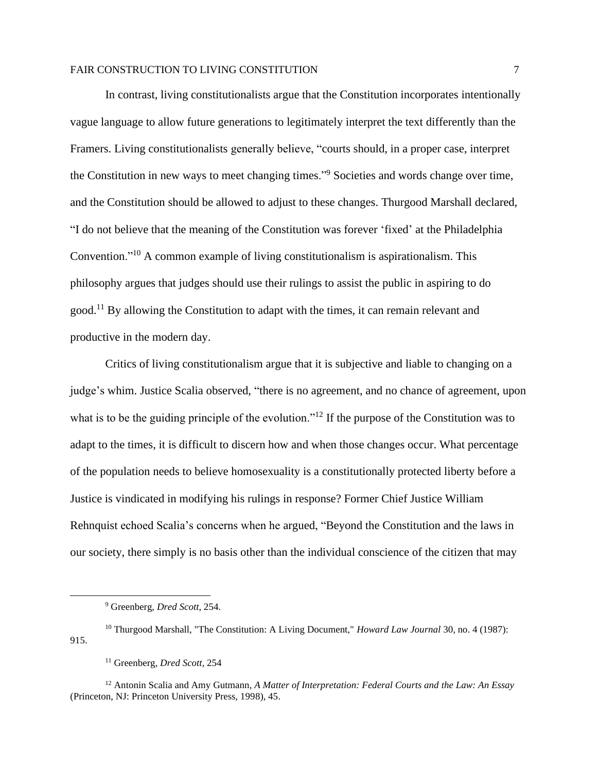In contrast, living constitutionalists argue that the Constitution incorporates intentionally vague language to allow future generations to legitimately interpret the text differently than the Framers. Living constitutionalists generally believe, "courts should, in a proper case, interpret the Constitution in new ways to meet changing times."<sup>9</sup> Societies and words change over time, and the Constitution should be allowed to adjust to these changes. Thurgood Marshall declared, "I do not believe that the meaning of the Constitution was forever 'fixed' at the Philadelphia Convention."<sup>10</sup> A common example of living constitutionalism is aspirationalism. This philosophy argues that judges should use their rulings to assist the public in aspiring to do good.<sup>11</sup> By allowing the Constitution to adapt with the times, it can remain relevant and productive in the modern day.

Critics of living constitutionalism argue that it is subjective and liable to changing on a judge's whim. Justice Scalia observed, "there is no agreement, and no chance of agreement, upon what is to be the guiding principle of the evolution."<sup>12</sup> If the purpose of the Constitution was to adapt to the times, it is difficult to discern how and when those changes occur. What percentage of the population needs to believe homosexuality is a constitutionally protected liberty before a Justice is vindicated in modifying his rulings in response? Former Chief Justice William Rehnquist echoed Scalia's concerns when he argued, "Beyond the Constitution and the laws in our society, there simply is no basis other than the individual conscience of the citizen that may

<sup>9</sup> Greenberg, *Dred Scott*, 254.

<sup>10</sup> Thurgood Marshall, "The Constitution: A Living Document," *Howard Law Journal* 30, no. 4 (1987): 915.

<sup>11</sup> Greenberg, *Dred Scott*, 254

<sup>12</sup> Antonin Scalia and Amy Gutmann, *A Matter of Interpretation: Federal Courts and the Law: An Essay* (Princeton, NJ: Princeton University Press, 1998), 45.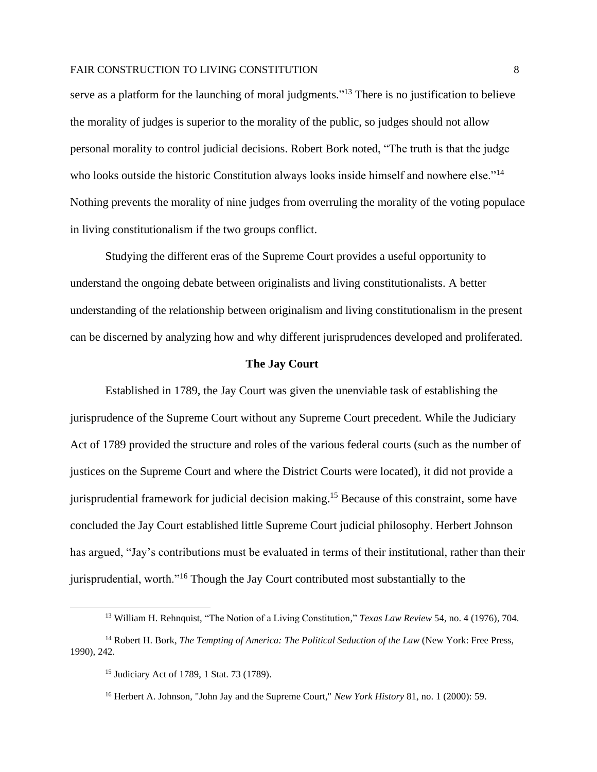serve as a platform for the launching of moral judgments."<sup>13</sup> There is no justification to believe the morality of judges is superior to the morality of the public, so judges should not allow personal morality to control judicial decisions. Robert Bork noted, "The truth is that the judge who looks outside the historic Constitution always looks inside himself and nowhere else."<sup>14</sup> Nothing prevents the morality of nine judges from overruling the morality of the voting populace in living constitutionalism if the two groups conflict.

Studying the different eras of the Supreme Court provides a useful opportunity to understand the ongoing debate between originalists and living constitutionalists. A better understanding of the relationship between originalism and living constitutionalism in the present can be discerned by analyzing how and why different jurisprudences developed and proliferated.

#### **The Jay Court**

Established in 1789, the Jay Court was given the unenviable task of establishing the jurisprudence of the Supreme Court without any Supreme Court precedent. While the Judiciary Act of 1789 provided the structure and roles of the various federal courts (such as the number of justices on the Supreme Court and where the District Courts were located), it did not provide a jurisprudential framework for judicial decision making. <sup>15</sup> Because of this constraint, some have concluded the Jay Court established little Supreme Court judicial philosophy. Herbert Johnson has argued, "Jay's contributions must be evaluated in terms of their institutional, rather than their jurisprudential, worth."<sup>16</sup> Though the Jay Court contributed most substantially to the

<sup>13</sup> William H. Rehnquist, "The Notion of a Living Constitution," *Texas Law Review* 54, no. 4 (1976), 704.

<sup>14</sup> Robert H. Bork, *The Tempting of America: The Political Seduction of the Law* (New York: Free Press, 1990)*,* 242.

<sup>15</sup> Judiciary Act of 1789, 1 Stat. 73 (1789).

<sup>16</sup> Herbert A. Johnson, "John Jay and the Supreme Court," *New York History* 81, no. 1 (2000): 59.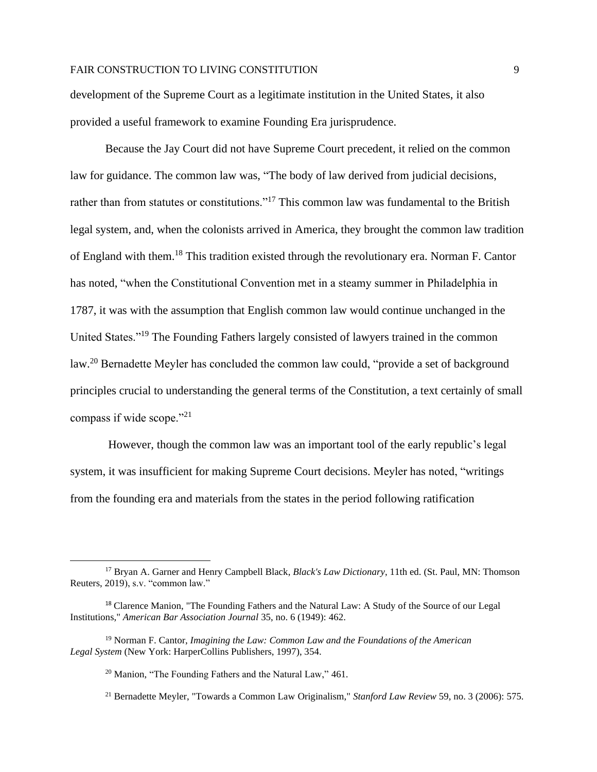development of the Supreme Court as a legitimate institution in the United States, it also provided a useful framework to examine Founding Era jurisprudence.

Because the Jay Court did not have Supreme Court precedent, it relied on the common law for guidance. The common law was, "The body of law derived from judicial decisions, rather than from statutes or constitutions."<sup>17</sup> This common law was fundamental to the British legal system, and, when the colonists arrived in America, they brought the common law tradition of England with them.<sup>18</sup> This tradition existed through the revolutionary era. Norman F. Cantor has noted, "when the Constitutional Convention met in a steamy summer in Philadelphia in 1787, it was with the assumption that English common law would continue unchanged in the United States."<sup>19</sup> The Founding Fathers largely consisted of lawyers trained in the common law.<sup>20</sup> Bernadette Meyler has concluded the common law could, "provide a set of background principles crucial to understanding the general terms of the Constitution, a text certainly of small compass if wide scope."<sup>21</sup>

However, though the common law was an important tool of the early republic's legal system, it was insufficient for making Supreme Court decisions. Meyler has noted, "writings from the founding era and materials from the states in the period following ratification

<sup>17</sup> Bryan A. Garner and Henry Campbell Black, *Black's Law Dictionary*, 11th ed. (St. Paul, MN: Thomson Reuters, 2019), s.v. "common law."

<sup>&</sup>lt;sup>18</sup> Clarence Manion, "The Founding Fathers and the Natural Law: A Study of the Source of our Legal Institutions," *American Bar Association Journal* 35, no. 6 (1949): 462.

<sup>19</sup> Norman F. Cantor, *Imagining the Law: Common Law and the Foundations of the American Legal System* (New York: HarperCollins Publishers, 1997), 354.

<sup>&</sup>lt;sup>20</sup> Manion, "The Founding Fathers and the Natural Law," 461.

<sup>21</sup> Bernadette Meyler, "Towards a Common Law Originalism," *Stanford Law Review* 59, no. 3 (2006): 575.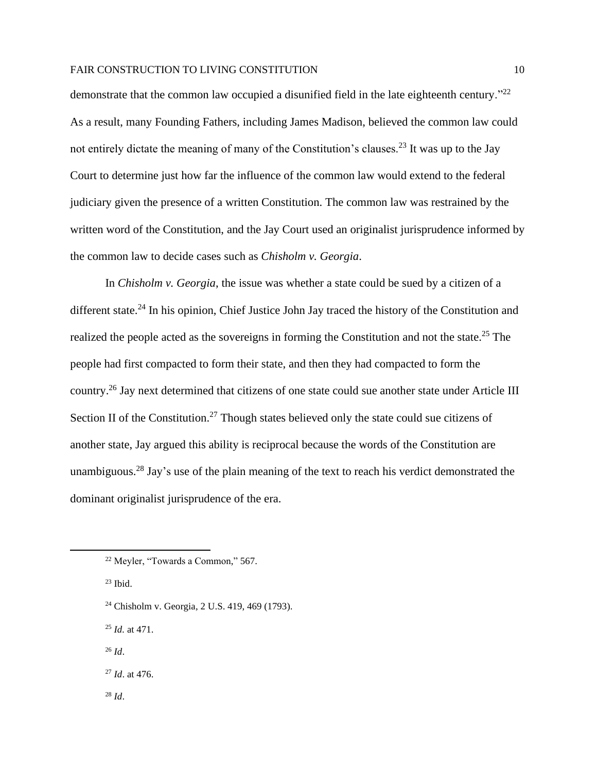demonstrate that the common law occupied a disunified field in the late eighteenth century."<sup>22</sup> As a result, many Founding Fathers, including James Madison, believed the common law could not entirely dictate the meaning of many of the Constitution's clauses.<sup>23</sup> It was up to the Jay Court to determine just how far the influence of the common law would extend to the federal judiciary given the presence of a written Constitution. The common law was restrained by the written word of the Constitution, and the Jay Court used an originalist jurisprudence informed by the common law to decide cases such as *Chisholm v. Georgia*.

In *Chisholm v. Georgia*, the issue was whether a state could be sued by a citizen of a different state.<sup>24</sup> In his opinion, Chief Justice John Jay traced the history of the Constitution and realized the people acted as the sovereigns in forming the Constitution and not the state.<sup>25</sup> The people had first compacted to form their state, and then they had compacted to form the country.<sup>26</sup> Jay next determined that citizens of one state could sue another state under Article III Section II of the Constitution.<sup>27</sup> Though states believed only the state could sue citizens of another state, Jay argued this ability is reciprocal because the words of the Constitution are unambiguous.<sup>28</sup> Jay's use of the plain meaning of the text to reach his verdict demonstrated the dominant originalist jurisprudence of the era.

- <sup>24</sup> Chisholm v. Georgia, 2 U.S. 419, 469 (1793).
- <sup>25</sup> *Id.* at 471.
- <sup>26</sup> *Id*.

<sup>28</sup> *Id*.

<sup>27</sup> *Id*. at 476.

<sup>22</sup> Meyler, "Towards a Common," 567.

 $23$  Ibid.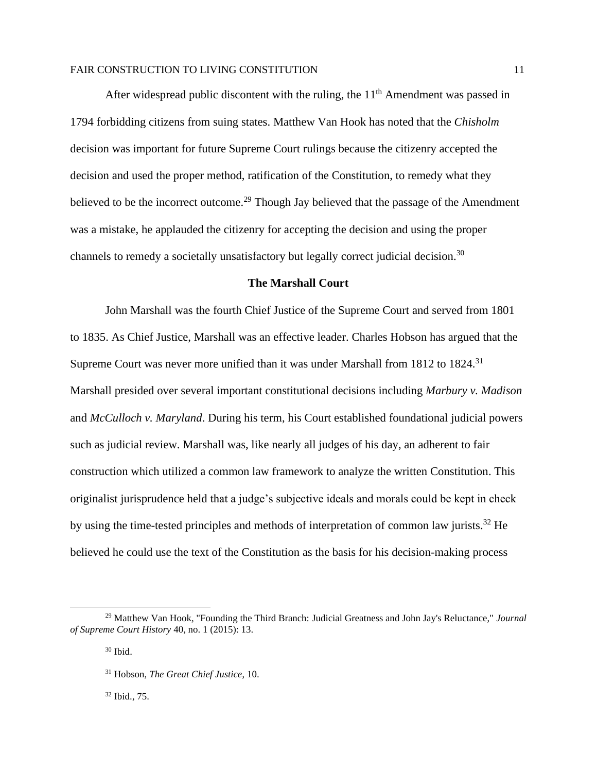After widespread public discontent with the ruling, the  $11<sup>th</sup>$  Amendment was passed in 1794 forbidding citizens from suing states. Matthew Van Hook has noted that the *Chisholm* decision was important for future Supreme Court rulings because the citizenry accepted the decision and used the proper method, ratification of the Constitution, to remedy what they believed to be the incorrect outcome.<sup>29</sup> Though Jay believed that the passage of the Amendment was a mistake, he applauded the citizenry for accepting the decision and using the proper channels to remedy a societally unsatisfactory but legally correct judicial decision.<sup>30</sup>

## **The Marshall Court**

John Marshall was the fourth Chief Justice of the Supreme Court and served from 1801 to 1835. As Chief Justice, Marshall was an effective leader. Charles Hobson has argued that the Supreme Court was never more unified than it was under Marshall from 1812 to 1824.<sup>31</sup> Marshall presided over several important constitutional decisions including *Marbury v. Madison*  and *McCulloch v. Maryland*. During his term, his Court established foundational judicial powers such as judicial review. Marshall was, like nearly all judges of his day, an adherent to fair construction which utilized a common law framework to analyze the written Constitution. This originalist jurisprudence held that a judge's subjective ideals and morals could be kept in check by using the time-tested principles and methods of interpretation of common law jurists.<sup>32</sup> He believed he could use the text of the Constitution as the basis for his decision-making process

<sup>32</sup> Ibid., 75.

<sup>29</sup> Matthew Van Hook, "Founding the Third Branch: Judicial Greatness and John Jay's Reluctance," *Journal of Supreme Court History* 40, no. 1 (2015): 13.

 $30$  Ibid.

<sup>31</sup> Hobson, *The Great Chief Justice*, 10.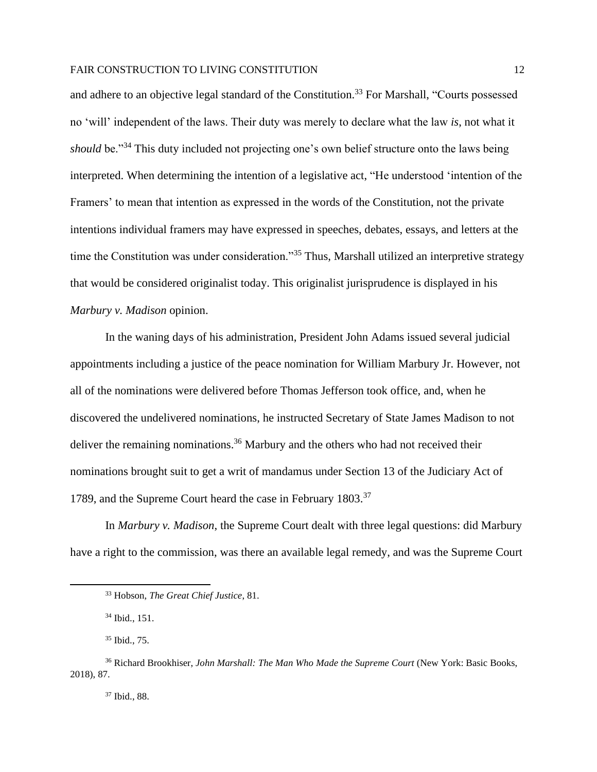and adhere to an objective legal standard of the Constitution.<sup>33</sup> For Marshall, "Courts possessed no 'will' independent of the laws. Their duty was merely to declare what the law *is*, not what it *should* be."<sup>34</sup> This duty included not projecting one's own belief structure onto the laws being interpreted. When determining the intention of a legislative act, "He understood 'intention of the Framers' to mean that intention as expressed in the words of the Constitution, not the private intentions individual framers may have expressed in speeches, debates, essays, and letters at the time the Constitution was under consideration."<sup>35</sup> Thus, Marshall utilized an interpretive strategy that would be considered originalist today. This originalist jurisprudence is displayed in his *Marbury v. Madison* opinion.

In the waning days of his administration, President John Adams issued several judicial appointments including a justice of the peace nomination for William Marbury Jr. However, not all of the nominations were delivered before Thomas Jefferson took office, and, when he discovered the undelivered nominations, he instructed Secretary of State James Madison to not deliver the remaining nominations.<sup>36</sup> Marbury and the others who had not received their nominations brought suit to get a writ of mandamus under Section 13 of the Judiciary Act of 1789, and the Supreme Court heard the case in February 1803.<sup>37</sup>

In *Marbury v. Madison*, the Supreme Court dealt with three legal questions: did Marbury have a right to the commission, was there an available legal remedy, and was the Supreme Court

<sup>37</sup> Ibid., 88.

<sup>33</sup> Hobson, *The Great Chief Justice*, 81.

<sup>34</sup> Ibid., 151.

<sup>35</sup> Ibid., 75.

<sup>36</sup> Richard Brookhiser, *John Marshall: The Man Who Made the Supreme Court* (New York: Basic Books, 2018), 87.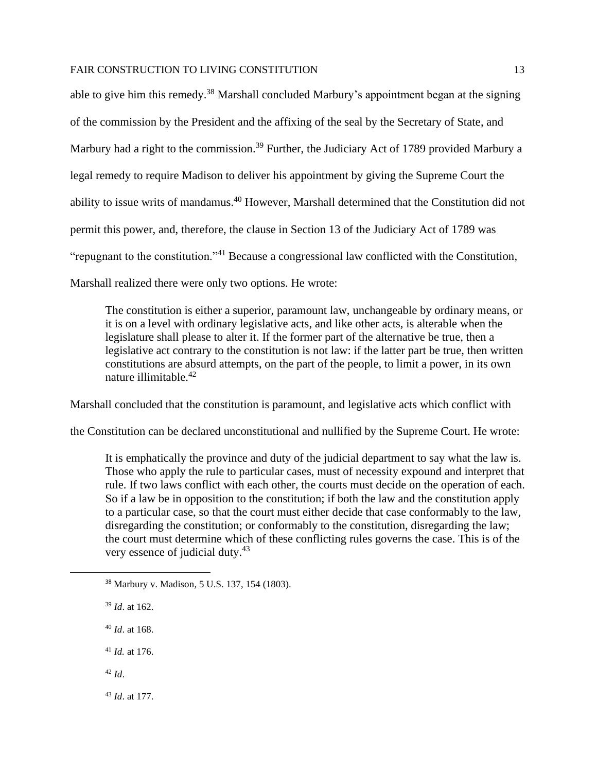able to give him this remedy.<sup>38</sup> Marshall concluded Marbury's appointment began at the signing of the commission by the President and the affixing of the seal by the Secretary of State, and Marbury had a right to the commission.<sup>39</sup> Further, the Judiciary Act of 1789 provided Marbury a legal remedy to require Madison to deliver his appointment by giving the Supreme Court the ability to issue writs of mandamus.<sup>40</sup> However, Marshall determined that the Constitution did not permit this power, and, therefore, the clause in Section 13 of the Judiciary Act of 1789 was "repugnant to the constitution."<sup>41</sup> Because a congressional law conflicted with the Constitution, Marshall realized there were only two options. He wrote:

The constitution is either a superior, paramount law, unchangeable by ordinary means, or it is on a level with ordinary legislative acts, and like other acts, is alterable when the legislature shall please to alter it. If the former part of the alternative be true, then a legislative act contrary to the constitution is not law: if the latter part be true, then written constitutions are absurd attempts, on the part of the people, to limit a power, in its own nature illimitable.<sup>42</sup>

Marshall concluded that the constitution is paramount, and legislative acts which conflict with

the Constitution can be declared unconstitutional and nullified by the Supreme Court. He wrote:

It is emphatically the province and duty of the judicial department to say what the law is. Those who apply the rule to particular cases, must of necessity expound and interpret that rule. If two laws conflict with each other, the courts must decide on the operation of each. So if a law be in opposition to the constitution; if both the law and the constitution apply to a particular case, so that the court must either decide that case conformably to the law, disregarding the constitution; or conformably to the constitution, disregarding the law; the court must determine which of these conflicting rules governs the case. This is of the very essence of judicial duty.<sup>43</sup>

- <sup>38</sup> Marbury v. Madison*,* 5 U.S. 137, 154 (1803).
- <sup>39</sup> *Id*. at 162.
- <sup>40</sup> *Id*. at 168.

<sup>41</sup> *Id.* at 176.

<sup>42</sup> *Id*.

<sup>43</sup> *Id*. at 177.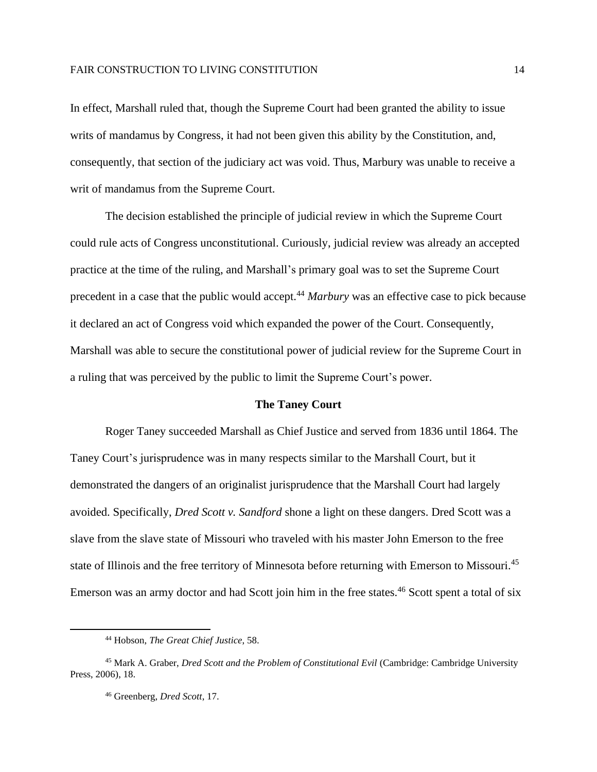In effect, Marshall ruled that, though the Supreme Court had been granted the ability to issue writs of mandamus by Congress, it had not been given this ability by the Constitution, and, consequently, that section of the judiciary act was void. Thus, Marbury was unable to receive a writ of mandamus from the Supreme Court.

The decision established the principle of judicial review in which the Supreme Court could rule acts of Congress unconstitutional. Curiously, judicial review was already an accepted practice at the time of the ruling, and Marshall's primary goal was to set the Supreme Court precedent in a case that the public would accept.<sup>44</sup> *Marbury* was an effective case to pick because it declared an act of Congress void which expanded the power of the Court. Consequently, Marshall was able to secure the constitutional power of judicial review for the Supreme Court in a ruling that was perceived by the public to limit the Supreme Court's power.

## **The Taney Court**

Roger Taney succeeded Marshall as Chief Justice and served from 1836 until 1864. The Taney Court's jurisprudence was in many respects similar to the Marshall Court, but it demonstrated the dangers of an originalist jurisprudence that the Marshall Court had largely avoided. Specifically, *Dred Scott v. Sandford* shone a light on these dangers. Dred Scott was a slave from the slave state of Missouri who traveled with his master John Emerson to the free state of Illinois and the free territory of Minnesota before returning with Emerson to Missouri.<sup>45</sup> Emerson was an army doctor and had Scott join him in the free states.<sup>46</sup> Scott spent a total of six

<sup>44</sup> Hobson, *The Great Chief Justice*, 58.

<sup>45</sup> Mark A. Graber, *Dred Scott and the Problem of Constitutional Evil* (Cambridge: Cambridge University Press, 2006), 18.

<sup>46</sup> Greenberg, *Dred Scott*, 17.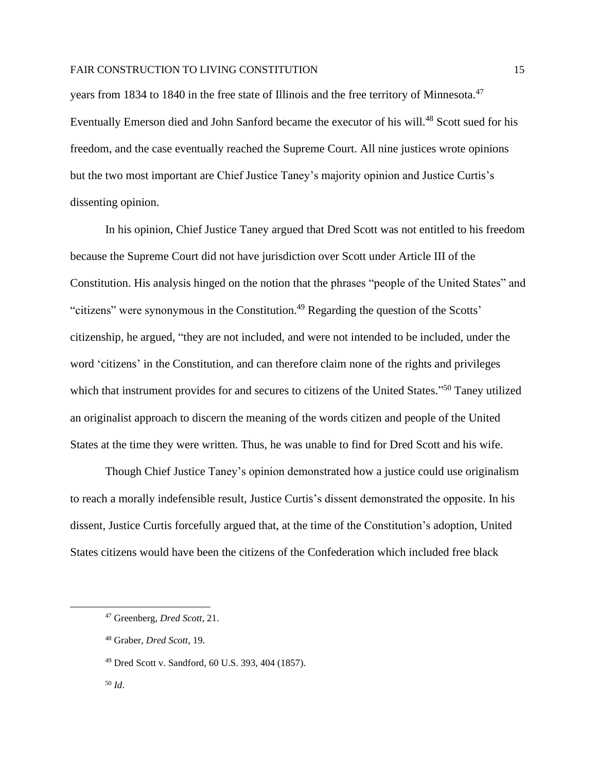years from 1834 to 1840 in the free state of Illinois and the free territory of Minnesota.<sup>47</sup> Eventually Emerson died and John Sanford became the executor of his will.<sup>48</sup> Scott sued for his freedom, and the case eventually reached the Supreme Court. All nine justices wrote opinions but the two most important are Chief Justice Taney's majority opinion and Justice Curtis's dissenting opinion.

In his opinion, Chief Justice Taney argued that Dred Scott was not entitled to his freedom because the Supreme Court did not have jurisdiction over Scott under Article III of the Constitution. His analysis hinged on the notion that the phrases "people of the United States" and "citizens" were synonymous in the Constitution.<sup>49</sup> Regarding the question of the Scotts' citizenship, he argued, "they are not included, and were not intended to be included, under the word 'citizens' in the Constitution, and can therefore claim none of the rights and privileges which that instrument provides for and secures to citizens of the United States."<sup>50</sup> Taney utilized an originalist approach to discern the meaning of the words citizen and people of the United States at the time they were written. Thus, he was unable to find for Dred Scott and his wife.

Though Chief Justice Taney's opinion demonstrated how a justice could use originalism to reach a morally indefensible result, Justice Curtis's dissent demonstrated the opposite. In his dissent, Justice Curtis forcefully argued that, at the time of the Constitution's adoption, United States citizens would have been the citizens of the Confederation which included free black

<sup>47</sup> Greenberg, *Dred Scott*, 21.

<sup>48</sup> Graber, *Dred Scott*, 19.

<sup>49</sup> Dred Scott v. Sandford, 60 U.S. 393, 404 (1857).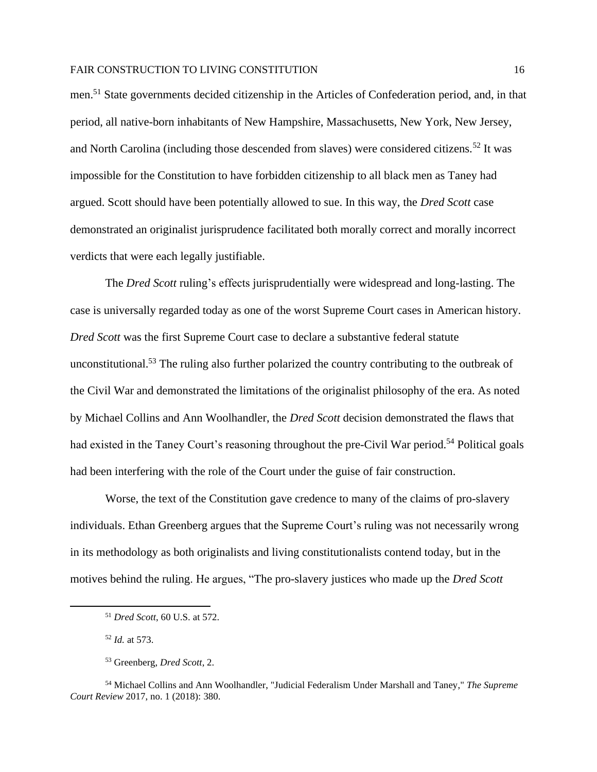men. <sup>51</sup> State governments decided citizenship in the Articles of Confederation period, and, in that period, all native-born inhabitants of New Hampshire, Massachusetts, New York, New Jersey, and North Carolina (including those descended from slaves) were considered citizens.<sup>52</sup> It was impossible for the Constitution to have forbidden citizenship to all black men as Taney had argued. Scott should have been potentially allowed to sue. In this way, the *Dred Scott* case demonstrated an originalist jurisprudence facilitated both morally correct and morally incorrect verdicts that were each legally justifiable.

The *Dred Scott* ruling's effects jurisprudentially were widespread and long-lasting. The case is universally regarded today as one of the worst Supreme Court cases in American history. *Dred Scott* was the first Supreme Court case to declare a substantive federal statute unconstitutional.<sup>53</sup> The ruling also further polarized the country contributing to the outbreak of the Civil War and demonstrated the limitations of the originalist philosophy of the era. As noted by Michael Collins and Ann Woolhandler, the *Dred Scott* decision demonstrated the flaws that had existed in the Taney Court's reasoning throughout the pre-Civil War period.<sup>54</sup> Political goals had been interfering with the role of the Court under the guise of fair construction.

Worse, the text of the Constitution gave credence to many of the claims of pro-slavery individuals. Ethan Greenberg argues that the Supreme Court's ruling was not necessarily wrong in its methodology as both originalists and living constitutionalists contend today, but in the motives behind the ruling. He argues, "The pro-slavery justices who made up the *Dred Scott* 

<sup>51</sup> *Dred Scott*, 60 U.S. at 572.

<sup>52</sup> *Id.* at 573.

<sup>53</sup> Greenberg, *Dred Scott*, 2.

<sup>54</sup> Michael Collins and Ann Woolhandler, "Judicial Federalism Under Marshall and Taney," *The Supreme Court Review* 2017, no. 1 (2018): 380.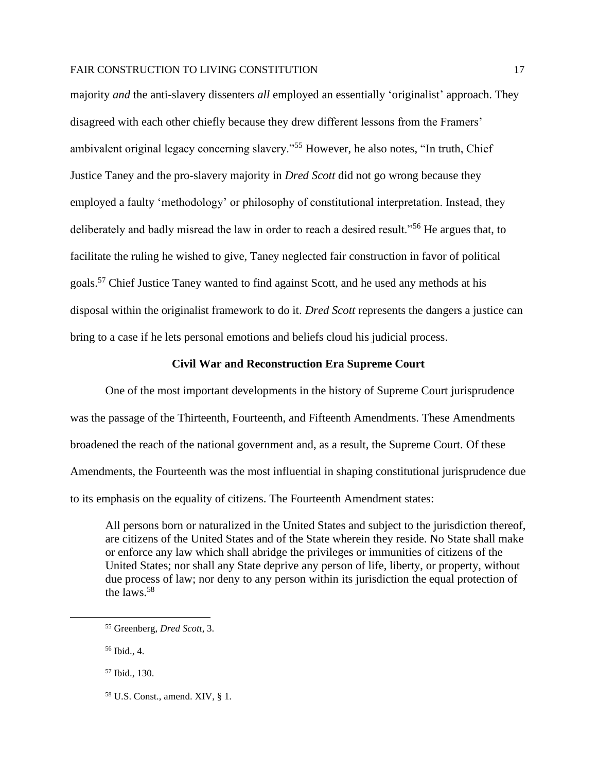majority *and* the anti-slavery dissenters *all* employed an essentially 'originalist' approach. They disagreed with each other chiefly because they drew different lessons from the Framers' ambivalent original legacy concerning slavery."<sup>55</sup> However, he also notes, "In truth, Chief Justice Taney and the pro-slavery majority in *Dred Scott* did not go wrong because they employed a faulty 'methodology' or philosophy of constitutional interpretation. Instead, they deliberately and badly misread the law in order to reach a desired result."<sup>56</sup> He argues that, to facilitate the ruling he wished to give, Taney neglected fair construction in favor of political goals.<sup>57</sup> Chief Justice Taney wanted to find against Scott, and he used any methods at his disposal within the originalist framework to do it. *Dred Scott* represents the dangers a justice can bring to a case if he lets personal emotions and beliefs cloud his judicial process.

#### **Civil War and Reconstruction Era Supreme Court**

One of the most important developments in the history of Supreme Court jurisprudence was the passage of the Thirteenth, Fourteenth, and Fifteenth Amendments. These Amendments broadened the reach of the national government and, as a result, the Supreme Court. Of these Amendments, the Fourteenth was the most influential in shaping constitutional jurisprudence due to its emphasis on the equality of citizens. The Fourteenth Amendment states:

All persons born or naturalized in the United States and subject to the jurisdiction thereof, are citizens of the United States and of the State wherein they reside. No State shall make or enforce any law which shall abridge the privileges or immunities of citizens of the United States; nor shall any State deprive any person of life, liberty, or property, without due process of law; nor deny to any person within its jurisdiction the equal protection of the laws.<sup>58</sup>

<sup>55</sup> Greenberg, *Dred Scott*, 3.

<sup>56</sup> Ibid., 4.

<sup>57</sup> Ibid., 130.

<sup>58</sup> U.S. Const., amend. XIV, § 1.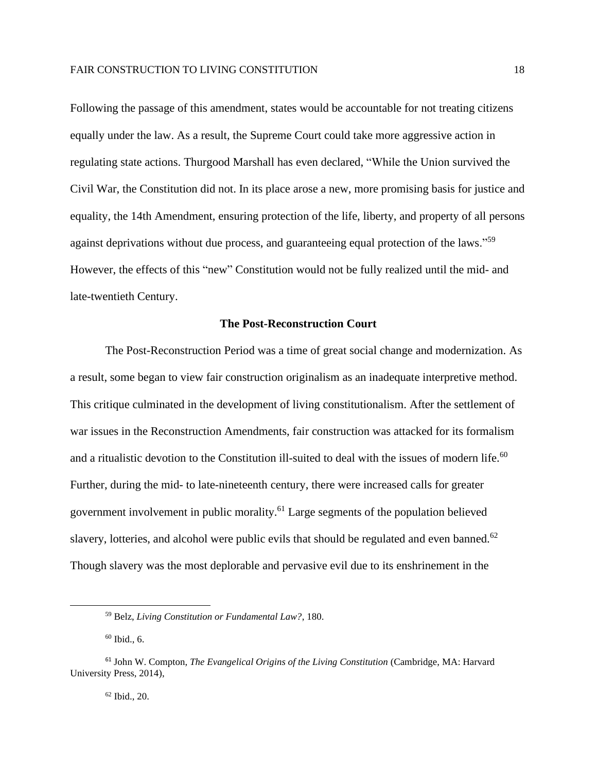Following the passage of this amendment, states would be accountable for not treating citizens equally under the law. As a result, the Supreme Court could take more aggressive action in regulating state actions. Thurgood Marshall has even declared, "While the Union survived the Civil War, the Constitution did not. In its place arose a new, more promising basis for justice and equality, the 14th Amendment, ensuring protection of the life, liberty, and property of all persons against deprivations without due process, and guaranteeing equal protection of the laws."<sup>59</sup> However, the effects of this "new" Constitution would not be fully realized until the mid- and late-twentieth Century.

# **The Post-Reconstruction Court**

The Post-Reconstruction Period was a time of great social change and modernization. As a result, some began to view fair construction originalism as an inadequate interpretive method. This critique culminated in the development of living constitutionalism. After the settlement of war issues in the Reconstruction Amendments, fair construction was attacked for its formalism and a ritualistic devotion to the Constitution ill-suited to deal with the issues of modern life.<sup>60</sup> Further, during the mid- to late-nineteenth century, there were increased calls for greater government involvement in public morality.<sup>61</sup> Large segments of the population believed slavery, lotteries, and alcohol were public evils that should be regulated and even banned.<sup>62</sup> Though slavery was the most deplorable and pervasive evil due to its enshrinement in the

 $62$  Ibid.,  $20$ .

<sup>59</sup> Belz, *Living Constitution or Fundamental Law?*, 180.

<sup>60</sup> Ibid., 6.

<sup>61</sup> John W. Compton, *The Evangelical Origins of the Living Constitution* (Cambridge, MA: Harvard University Press, 2014),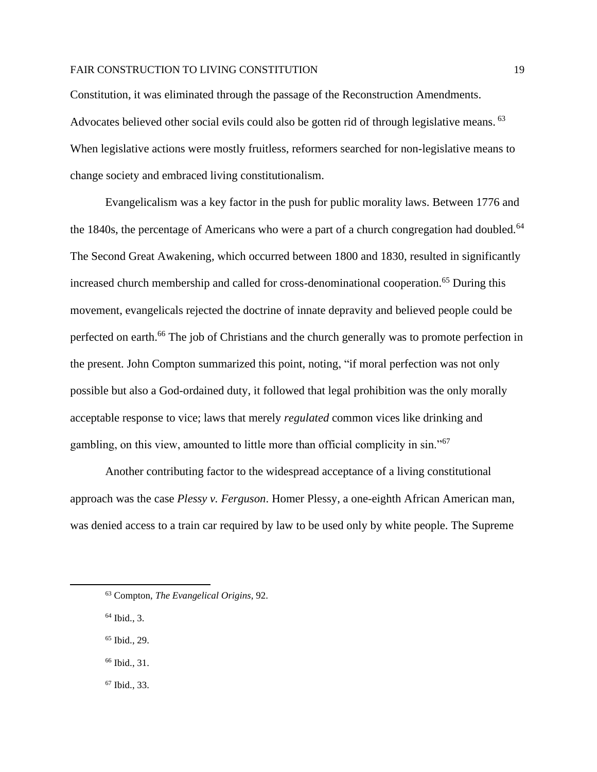Constitution, it was eliminated through the passage of the Reconstruction Amendments. Advocates believed other social evils could also be gotten rid of through legislative means. <sup>63</sup> When legislative actions were mostly fruitless, reformers searched for non-legislative means to change society and embraced living constitutionalism.

Evangelicalism was a key factor in the push for public morality laws. Between 1776 and the 1840s, the percentage of Americans who were a part of a church congregation had doubled.<sup>64</sup> The Second Great Awakening, which occurred between 1800 and 1830, resulted in significantly increased church membership and called for cross-denominational cooperation.<sup>65</sup> During this movement, evangelicals rejected the doctrine of innate depravity and believed people could be perfected on earth.<sup>66</sup> The job of Christians and the church generally was to promote perfection in the present. John Compton summarized this point, noting, "if moral perfection was not only possible but also a God-ordained duty, it followed that legal prohibition was the only morally acceptable response to vice; laws that merely *regulated* common vices like drinking and gambling, on this view, amounted to little more than official complicity in sin."<sup>67</sup>

Another contributing factor to the widespread acceptance of a living constitutional approach was the case *Plessy v. Ferguson*. Homer Plessy, a one-eighth African American man, was denied access to a train car required by law to be used only by white people. The Supreme

<sup>64</sup> Ibid., 3.

<sup>65</sup> Ibid., 29.

<sup>66</sup> Ibid., 31.

<sup>67</sup> Ibid., 33.

<sup>63</sup> Compton, *The Evangelical Origins*, 92.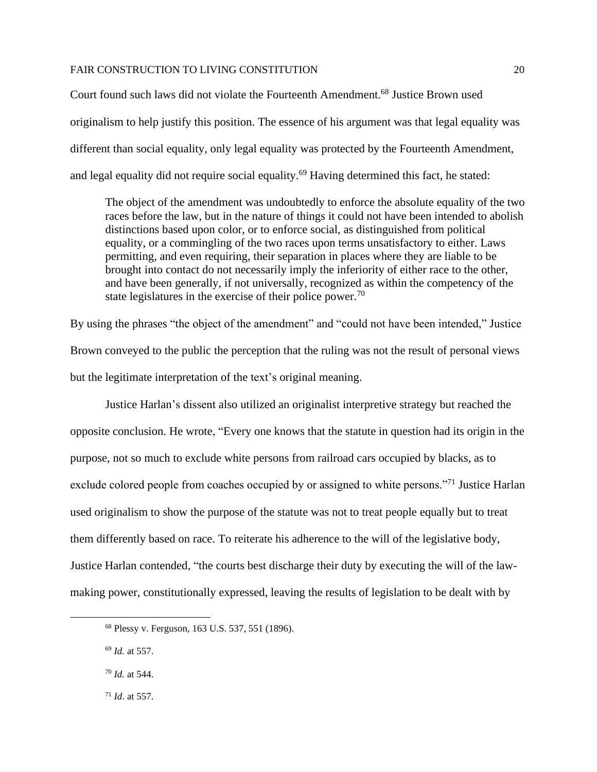Court found such laws did not violate the Fourteenth Amendment.<sup>68</sup> Justice Brown used originalism to help justify this position. The essence of his argument was that legal equality was different than social equality, only legal equality was protected by the Fourteenth Amendment, and legal equality did not require social equality.<sup>69</sup> Having determined this fact, he stated:

The object of the amendment was undoubtedly to enforce the absolute equality of the two races before the law, but in the nature of things it could not have been intended to abolish distinctions based upon color, or to enforce social, as distinguished from political equality, or a commingling of the two races upon terms unsatisfactory to either. Laws permitting, and even requiring, their separation in places where they are liable to be brought into contact do not necessarily imply the inferiority of either race to the other, and have been generally, if not universally, recognized as within the competency of the state legislatures in the exercise of their police power.<sup>70</sup>

By using the phrases "the object of the amendment" and "could not have been intended," Justice Brown conveyed to the public the perception that the ruling was not the result of personal views but the legitimate interpretation of the text's original meaning.

Justice Harlan's dissent also utilized an originalist interpretive strategy but reached the opposite conclusion. He wrote, "Every one knows that the statute in question had its origin in the purpose, not so much to exclude white persons from railroad cars occupied by blacks, as to exclude colored people from coaches occupied by or assigned to white persons."<sup>71</sup> Justice Harlan used originalism to show the purpose of the statute was not to treat people equally but to treat them differently based on race. To reiterate his adherence to the will of the legislative body, Justice Harlan contended, "the courts best discharge their duty by executing the will of the lawmaking power, constitutionally expressed, leaving the results of legislation to be dealt with by

<sup>68</sup> Plessy v. Ferguson, 163 U.S. 537, 551 (1896).

<sup>69</sup> *Id.* at 557.

<sup>70</sup> *Id.* at 544.

<sup>71</sup> *Id*. at 557.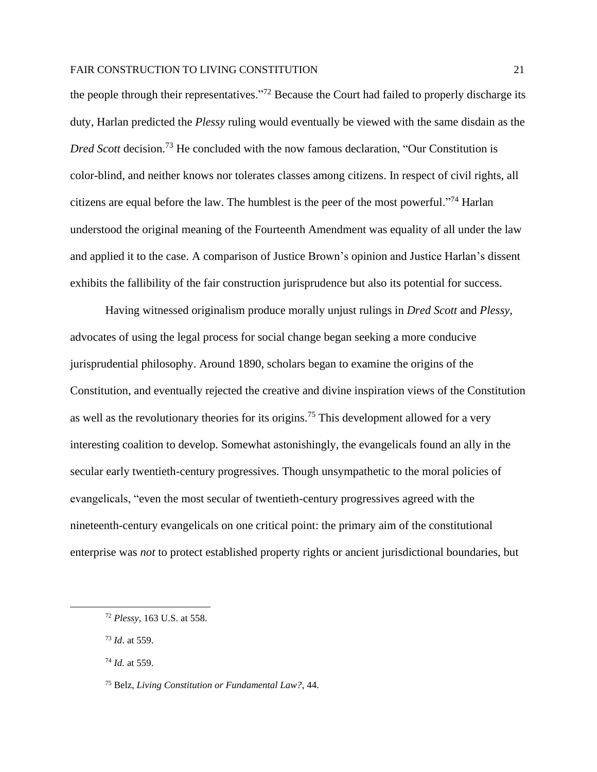the people through their representatives."<sup>72</sup> Because the Court had failed to properly discharge its duty, Harlan predicted the *Plessy* ruling would eventually be viewed with the same disdain as the *Dred Scott* decision.<sup>73</sup> He concluded with the now famous declaration, "Our Constitution is color-blind, and neither knows nor tolerates classes among citizens. In respect of civil rights, all citizens are equal before the law. The humblest is the peer of the most powerful."<sup>74</sup> Harlan understood the original meaning of the Fourteenth Amendment was equality of all under the law and applied it to the case. A comparison of Justice Brown's opinion and Justice Harlan's dissent exhibits the fallibility of the fair construction jurisprudence but also its potential for success.

Having witnessed originalism produce morally unjust rulings in *Dred Scott* and *Plessy*, advocates of using the legal process for social change began seeking a more conducive jurisprudential philosophy. Around 1890, scholars began to examine the origins of the Constitution, and eventually rejected the creative and divine inspiration views of the Constitution as well as the revolutionary theories for its origins.<sup>75</sup> This development allowed for a very interesting coalition to develop. Somewhat astonishingly, the evangelicals found an ally in the secular early twentieth-century progressives. Though unsympathetic to the moral policies of evangelicals, "even the most secular of twentieth-century progressives agreed with the nineteenth-century evangelicals on one critical point: the primary aim of the constitutional enterprise was *not* to protect established property rights or ancient jurisdictional boundaries, but

<sup>72</sup> *Plessy*, 163 U.S. at 558.

<sup>73</sup> *Id*. at 559.

<sup>74</sup> *Id.* at 559.

<sup>75</sup> Belz, *Living Constitution or Fundamental Law?*, 44.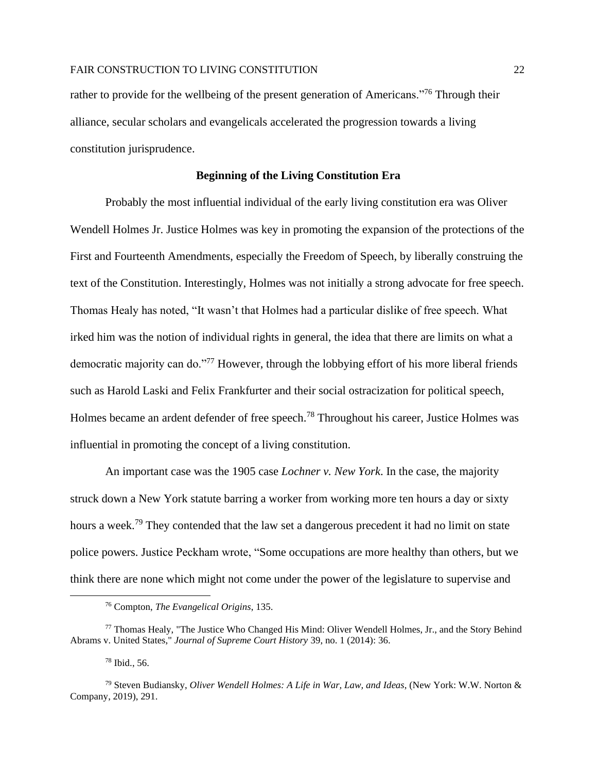rather to provide for the wellbeing of the present generation of Americans."<sup>76</sup> Through their alliance, secular scholars and evangelicals accelerated the progression towards a living constitution jurisprudence.

#### **Beginning of the Living Constitution Era**

Probably the most influential individual of the early living constitution era was Oliver Wendell Holmes Jr. Justice Holmes was key in promoting the expansion of the protections of the First and Fourteenth Amendments, especially the Freedom of Speech, by liberally construing the text of the Constitution. Interestingly, Holmes was not initially a strong advocate for free speech. Thomas Healy has noted, "It wasn't that Holmes had a particular dislike of free speech. What irked him was the notion of individual rights in general, the idea that there are limits on what a democratic majority can do."<sup>77</sup> However, through the lobbying effort of his more liberal friends such as Harold Laski and Felix Frankfurter and their social ostracization for political speech, Holmes became an ardent defender of free speech.<sup>78</sup> Throughout his career, Justice Holmes was influential in promoting the concept of a living constitution.

An important case was the 1905 case *Lochner v. New York*. In the case, the majority struck down a New York statute barring a worker from working more ten hours a day or sixty hours a week.<sup>79</sup> They contended that the law set a dangerous precedent it had no limit on state police powers. Justice Peckham wrote, "Some occupations are more healthy than others, but we think there are none which might not come under the power of the legislature to supervise and

<sup>76</sup> Compton, *The Evangelical Origins*, 135.

<sup>77</sup> Thomas Healy, "The Justice Who Changed His Mind: Oliver Wendell Holmes, Jr., and the Story Behind Abrams v. United States," *Journal of Supreme Court History* 39, no. 1 (2014): 36.

<sup>78</sup> Ibid., 56.

<sup>79</sup> Steven Budiansky, *Oliver Wendell Holmes: A Life in War, Law, and Ideas*, (New York: W.W. Norton & Company, 2019), 291.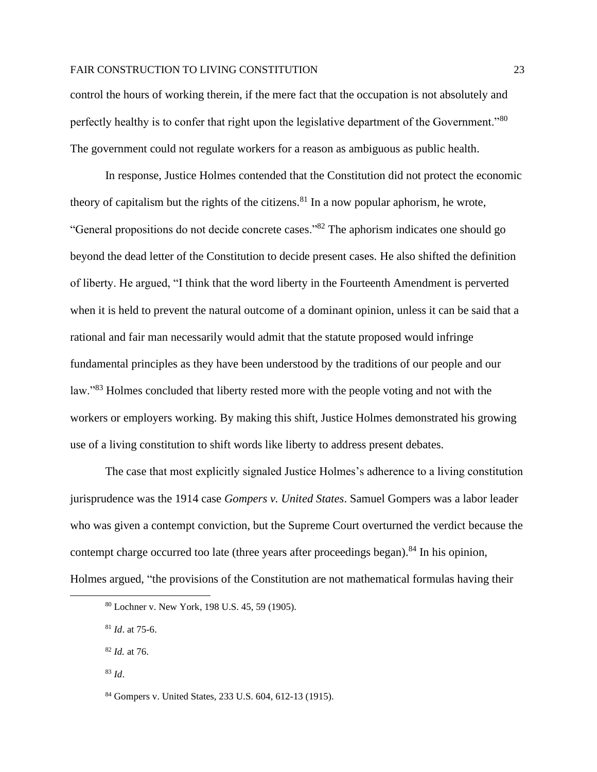control the hours of working therein, if the mere fact that the occupation is not absolutely and perfectly healthy is to confer that right upon the legislative department of the Government."80 The government could not regulate workers for a reason as ambiguous as public health.

In response, Justice Holmes contended that the Constitution did not protect the economic theory of capitalism but the rights of the citizens.<sup>81</sup> In a now popular aphorism, he wrote, "General propositions do not decide concrete cases."<sup>82</sup> The aphorism indicates one should go beyond the dead letter of the Constitution to decide present cases. He also shifted the definition of liberty. He argued, "I think that the word liberty in the Fourteenth Amendment is perverted when it is held to prevent the natural outcome of a dominant opinion, unless it can be said that a rational and fair man necessarily would admit that the statute proposed would infringe fundamental principles as they have been understood by the traditions of our people and our law."<sup>83</sup> Holmes concluded that liberty rested more with the people voting and not with the workers or employers working. By making this shift, Justice Holmes demonstrated his growing use of a living constitution to shift words like liberty to address present debates.

The case that most explicitly signaled Justice Holmes's adherence to a living constitution jurisprudence was the 1914 case *Gompers v. United States*. Samuel Gompers was a labor leader who was given a contempt conviction, but the Supreme Court overturned the verdict because the contempt charge occurred too late (three years after proceedings began).<sup>84</sup> In his opinion, Holmes argued, "the provisions of the Constitution are not mathematical formulas having their

<sup>80</sup> Lochner v. New York, 198 U.S. 45, 59 (1905).

<sup>81</sup> *Id*. at 75-6.

<sup>82</sup> *Id.* at 76.

<sup>83</sup> *Id*.

<sup>84</sup> Gompers v. United States, 233 U.S. 604, 612-13 (1915).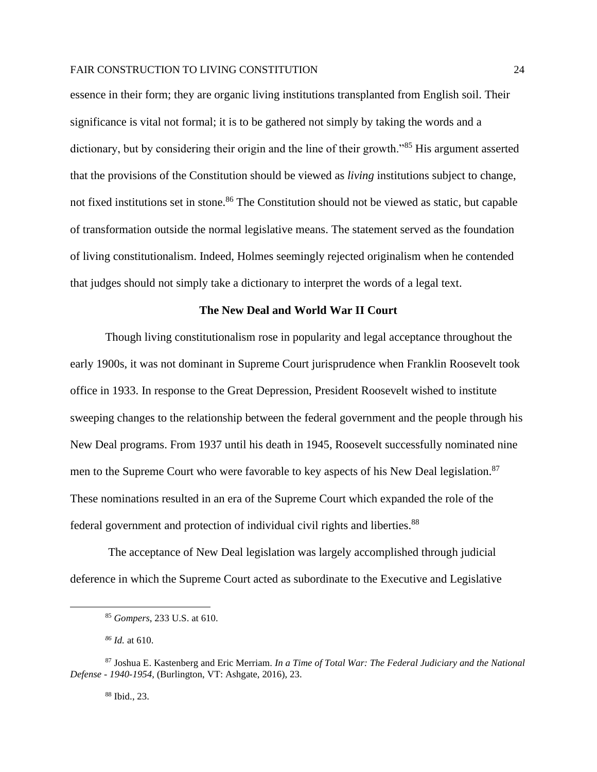essence in their form; they are organic living institutions transplanted from English soil. Their significance is vital not formal; it is to be gathered not simply by taking the words and a dictionary, but by considering their origin and the line of their growth."<sup>85</sup> His argument asserted that the provisions of the Constitution should be viewed as *living* institutions subject to change, not fixed institutions set in stone.<sup>86</sup> The Constitution should not be viewed as static, but capable of transformation outside the normal legislative means. The statement served as the foundation of living constitutionalism. Indeed, Holmes seemingly rejected originalism when he contended that judges should not simply take a dictionary to interpret the words of a legal text.

#### **The New Deal and World War II Court**

Though living constitutionalism rose in popularity and legal acceptance throughout the early 1900s, it was not dominant in Supreme Court jurisprudence when Franklin Roosevelt took office in 1933. In response to the Great Depression, President Roosevelt wished to institute sweeping changes to the relationship between the federal government and the people through his New Deal programs. From 1937 until his death in 1945, Roosevelt successfully nominated nine men to the Supreme Court who were favorable to key aspects of his New Deal legislation.<sup>87</sup> These nominations resulted in an era of the Supreme Court which expanded the role of the federal government and protection of individual civil rights and liberties.<sup>88</sup>

The acceptance of New Deal legislation was largely accomplished through judicial deference in which the Supreme Court acted as subordinate to the Executive and Legislative

*<sup>86</sup> Id.* at 610.

<sup>88</sup> Ibid., 23.

<sup>85</sup> *Gompers*, 233 U.S. at 610.

<sup>87</sup> Joshua E. Kastenberg and Eric Merriam. *In a Time of Total War: The Federal Judiciary and the National Defense - 1940-1954*, (Burlington, VT: Ashgate, 2016), 23.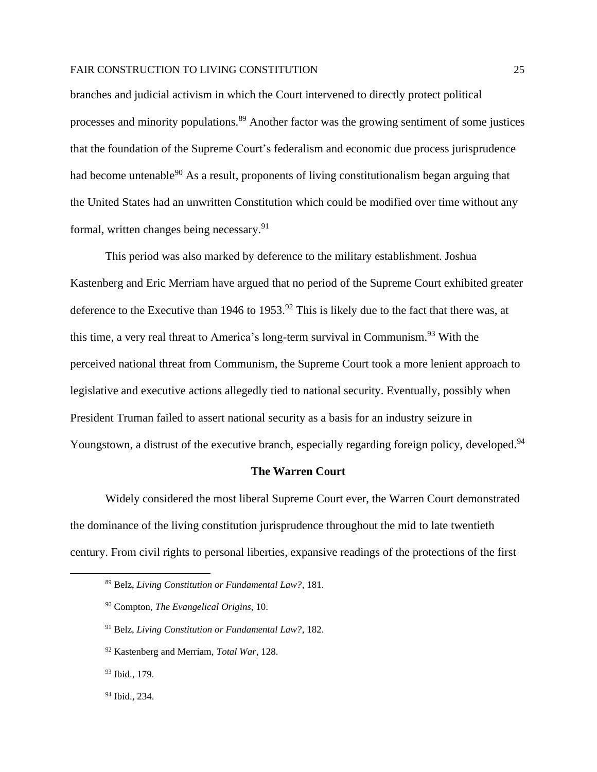branches and judicial activism in which the Court intervened to directly protect political processes and minority populations.<sup>89</sup> Another factor was the growing sentiment of some justices that the foundation of the Supreme Court's federalism and economic due process jurisprudence had become untenable<sup>90</sup> As a result, proponents of living constitutionalism began arguing that the United States had an unwritten Constitution which could be modified over time without any formal, written changes being necessary.<sup>91</sup>

This period was also marked by deference to the military establishment. Joshua Kastenberg and Eric Merriam have argued that no period of the Supreme Court exhibited greater deference to the Executive than 1946 to 1953.<sup>92</sup> This is likely due to the fact that there was, at this time, a very real threat to America's long-term survival in Communism.<sup>93</sup> With the perceived national threat from Communism, the Supreme Court took a more lenient approach to legislative and executive actions allegedly tied to national security. Eventually, possibly when President Truman failed to assert national security as a basis for an industry seizure in Youngstown, a distrust of the executive branch, especially regarding foreign policy, developed.<sup>94</sup>

#### **The Warren Court**

Widely considered the most liberal Supreme Court ever, the Warren Court demonstrated the dominance of the living constitution jurisprudence throughout the mid to late twentieth century. From civil rights to personal liberties, expansive readings of the protections of the first

<sup>89</sup> Belz, *Living Constitution or Fundamental Law?*, 181.

<sup>90</sup> Compton, *The Evangelical Origins*, 10.

<sup>91</sup> Belz, *Living Constitution or Fundamental Law?*, 182.

<sup>92</sup> Kastenberg and Merriam, *Total War*, 128.

<sup>93</sup> Ibid., 179.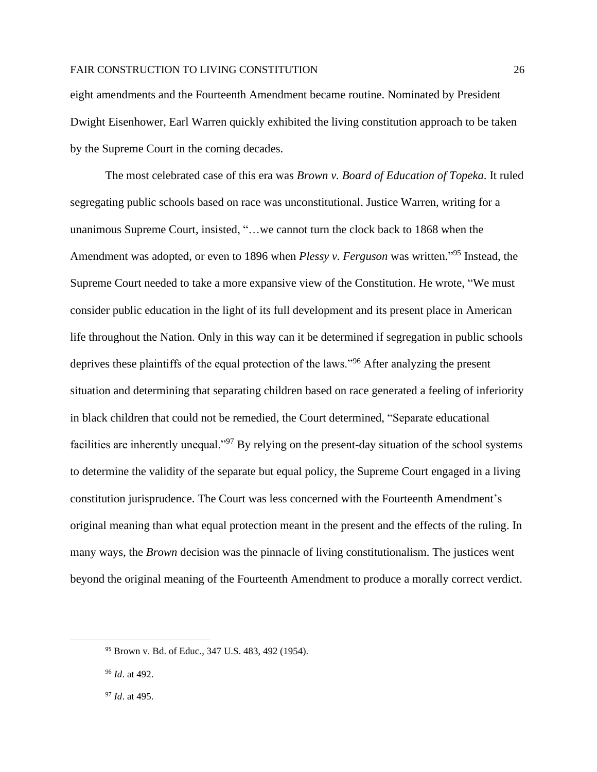eight amendments and the Fourteenth Amendment became routine. Nominated by President Dwight Eisenhower, Earl Warren quickly exhibited the living constitution approach to be taken by the Supreme Court in the coming decades.

The most celebrated case of this era was *Brown v. Board of Education of Topeka*. It ruled segregating public schools based on race was unconstitutional. Justice Warren, writing for a unanimous Supreme Court, insisted, "…we cannot turn the clock back to 1868 when the Amendment was adopted, or even to 1896 when *Plessy v. Ferguson* was written." <sup>95</sup> Instead, the Supreme Court needed to take a more expansive view of the Constitution. He wrote, "We must consider public education in the light of its full development and its present place in American life throughout the Nation. Only in this way can it be determined if segregation in public schools deprives these plaintiffs of the equal protection of the laws."<sup>96</sup> After analyzing the present situation and determining that separating children based on race generated a feeling of inferiority in black children that could not be remedied, the Court determined, "Separate educational facilities are inherently unequal."<sup>97</sup> By relying on the present-day situation of the school systems to determine the validity of the separate but equal policy, the Supreme Court engaged in a living constitution jurisprudence. The Court was less concerned with the Fourteenth Amendment's original meaning than what equal protection meant in the present and the effects of the ruling. In many ways, the *Brown* decision was the pinnacle of living constitutionalism. The justices went beyond the original meaning of the Fourteenth Amendment to produce a morally correct verdict.

<sup>95</sup> Brown v. Bd. of Educ*.*, 347 U.S. 483, 492 (1954).

<sup>96</sup> *Id*. at 492.

<sup>97</sup> *Id*. at 495.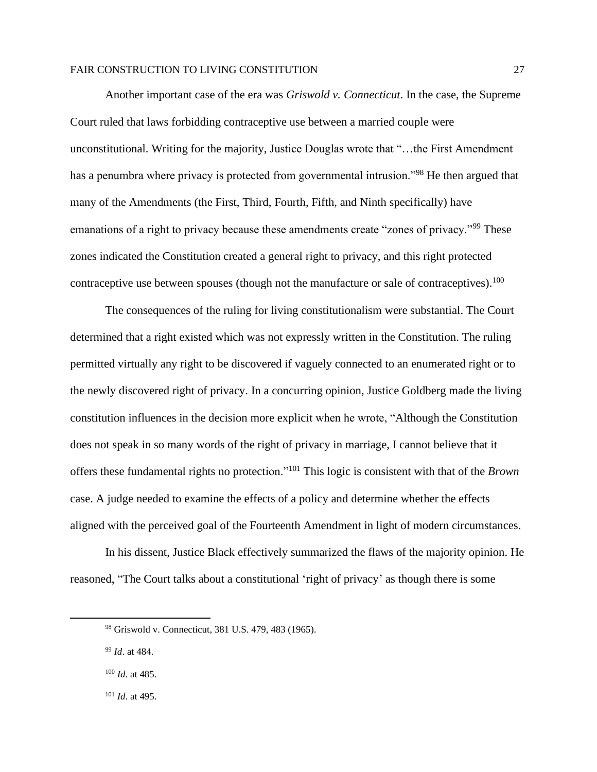Another important case of the era was *Griswold v. Connecticut*. In the case, the Supreme Court ruled that laws forbidding contraceptive use between a married couple were unconstitutional. Writing for the majority, Justice Douglas wrote that "…the First Amendment has a penumbra where privacy is protected from governmental intrusion."<sup>98</sup> He then argued that many of the Amendments (the First, Third, Fourth, Fifth, and Ninth specifically) have emanations of a right to privacy because these amendments create "zones of privacy."<sup>99</sup> These zones indicated the Constitution created a general right to privacy, and this right protected contraceptive use between spouses (though not the manufacture or sale of contraceptives).<sup>100</sup>

The consequences of the ruling for living constitutionalism were substantial. The Court determined that a right existed which was not expressly written in the Constitution. The ruling permitted virtually any right to be discovered if vaguely connected to an enumerated right or to the newly discovered right of privacy. In a concurring opinion, Justice Goldberg made the living constitution influences in the decision more explicit when he wrote, "Although the Constitution does not speak in so many words of the right of privacy in marriage, I cannot believe that it offers these fundamental rights no protection."<sup>101</sup> This logic is consistent with that of the *Brown*  case. A judge needed to examine the effects of a policy and determine whether the effects aligned with the perceived goal of the Fourteenth Amendment in light of modern circumstances.

In his dissent, Justice Black effectively summarized the flaws of the majority opinion. He reasoned, "The Court talks about a constitutional 'right of privacy' as though there is some

<sup>98</sup> Griswold v. Connecticut, 381 U.S. 479, 483 (1965).

<sup>99</sup> *Id*. at 484.

<sup>100</sup> *Id*. at 485*.*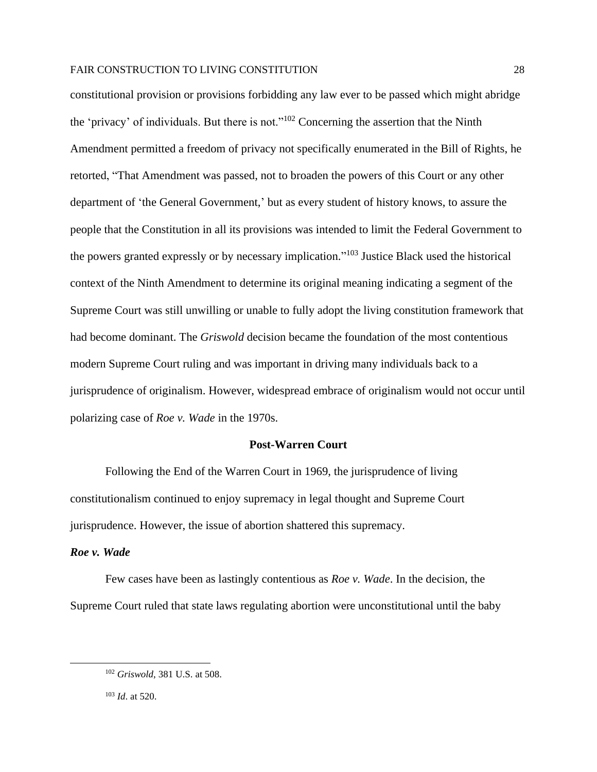constitutional provision or provisions forbidding any law ever to be passed which might abridge the 'privacy' of individuals. But there is not."<sup>102</sup> Concerning the assertion that the Ninth Amendment permitted a freedom of privacy not specifically enumerated in the Bill of Rights, he retorted, "That Amendment was passed, not to broaden the powers of this Court or any other department of 'the General Government,' but as every student of history knows, to assure the people that the Constitution in all its provisions was intended to limit the Federal Government to the powers granted expressly or by necessary implication." <sup>103</sup> Justice Black used the historical context of the Ninth Amendment to determine its original meaning indicating a segment of the Supreme Court was still unwilling or unable to fully adopt the living constitution framework that had become dominant. The *Griswold* decision became the foundation of the most contentious modern Supreme Court ruling and was important in driving many individuals back to a jurisprudence of originalism. However, widespread embrace of originalism would not occur until polarizing case of *Roe v. Wade* in the 1970s.

#### **Post-Warren Court**

Following the End of the Warren Court in 1969, the jurisprudence of living constitutionalism continued to enjoy supremacy in legal thought and Supreme Court jurisprudence. However, the issue of abortion shattered this supremacy.

# *Roe v. Wade*

Few cases have been as lastingly contentious as *Roe v. Wade*. In the decision, the Supreme Court ruled that state laws regulating abortion were unconstitutional until the baby

<sup>102</sup> *Griswold*, 381 U.S. at 508.

<sup>103</sup> *Id*. at 520.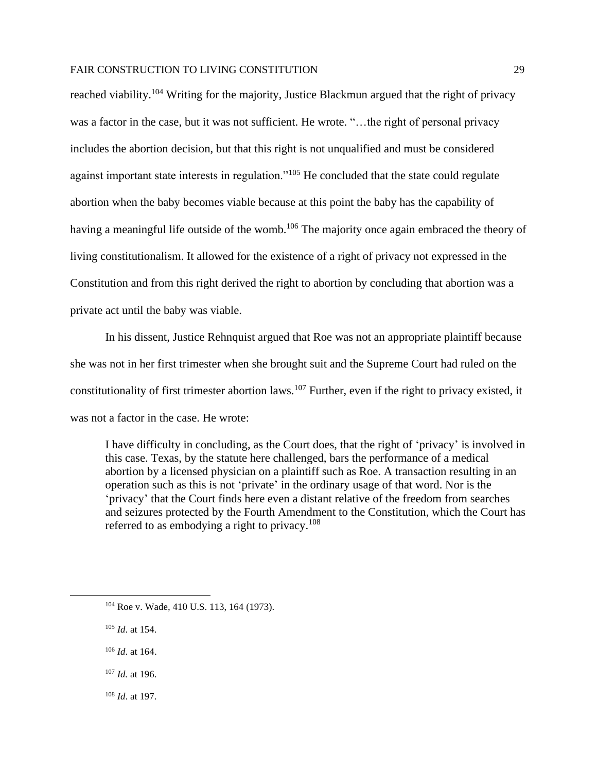reached viability.<sup>104</sup> Writing for the majority, Justice Blackmun argued that the right of privacy was a factor in the case, but it was not sufficient. He wrote. "...the right of personal privacy includes the abortion decision, but that this right is not unqualified and must be considered against important state interests in regulation."<sup>105</sup> He concluded that the state could regulate abortion when the baby becomes viable because at this point the baby has the capability of having a meaningful life outside of the womb.<sup>106</sup> The majority once again embraced the theory of living constitutionalism. It allowed for the existence of a right of privacy not expressed in the Constitution and from this right derived the right to abortion by concluding that abortion was a private act until the baby was viable.

In his dissent, Justice Rehnquist argued that Roe was not an appropriate plaintiff because she was not in her first trimester when she brought suit and the Supreme Court had ruled on the constitutionality of first trimester abortion laws.<sup>107</sup> Further, even if the right to privacy existed, it was not a factor in the case. He wrote:

I have difficulty in concluding, as the Court does, that the right of 'privacy' is involved in this case. Texas, by the statute here challenged, bars the performance of a medical abortion by a licensed physician on a plaintiff such as Roe. A transaction resulting in an operation such as this is not 'private' in the ordinary usage of that word. Nor is the 'privacy' that the Court finds here even a distant relative of the freedom from searches and seizures protected by the Fourth Amendment to the Constitution, which the Court has referred to as embodying a right to privacy. $108$ 

<sup>105</sup> *Id*. at 154.

- <sup>106</sup> *Id*. at 164.
- <sup>107</sup> *Id.* at 196.
- <sup>108</sup> *Id*. at 197.

<sup>104</sup> Roe v. Wade*,* 410 U.S. 113, 164 (1973).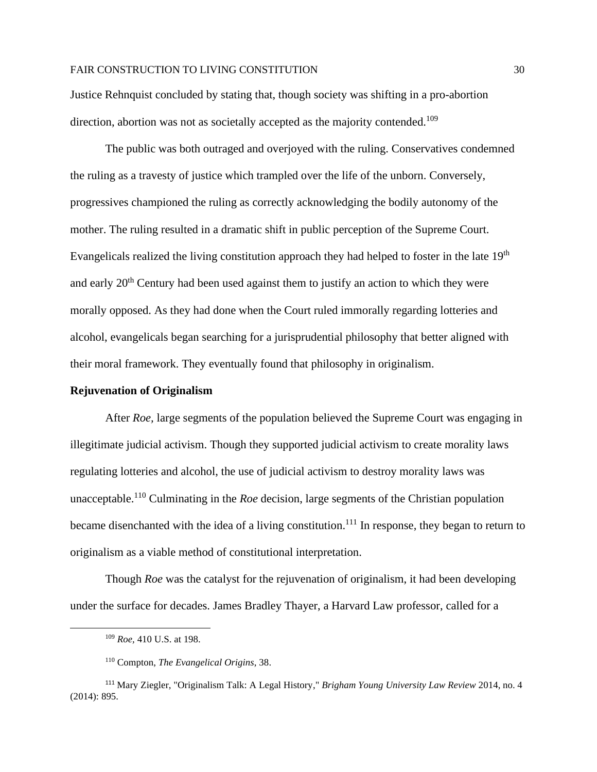Justice Rehnquist concluded by stating that, though society was shifting in a pro-abortion direction, abortion was not as societally accepted as the majority contended.<sup>109</sup>

The public was both outraged and overjoyed with the ruling. Conservatives condemned the ruling as a travesty of justice which trampled over the life of the unborn. Conversely, progressives championed the ruling as correctly acknowledging the bodily autonomy of the mother. The ruling resulted in a dramatic shift in public perception of the Supreme Court. Evangelicals realized the living constitution approach they had helped to foster in the late  $19<sup>th</sup>$ and early 20<sup>th</sup> Century had been used against them to justify an action to which they were morally opposed. As they had done when the Court ruled immorally regarding lotteries and alcohol, evangelicals began searching for a jurisprudential philosophy that better aligned with their moral framework. They eventually found that philosophy in originalism.

#### **Rejuvenation of Originalism**

After *Roe,* large segments of the population believed the Supreme Court was engaging in illegitimate judicial activism. Though they supported judicial activism to create morality laws regulating lotteries and alcohol, the use of judicial activism to destroy morality laws was unacceptable. <sup>110</sup> Culminating in the *Roe* decision, large segments of the Christian population became disenchanted with the idea of a living constitution.<sup>111</sup> In response, they began to return to originalism as a viable method of constitutional interpretation.

Though *Roe* was the catalyst for the rejuvenation of originalism, it had been developing under the surface for decades. James Bradley Thayer, a Harvard Law professor, called for a

<sup>109</sup> *Roe,* 410 U.S. at 198.

<sup>110</sup> Compton, *The Evangelical Origins*, 38.

<sup>111</sup> Mary Ziegler, "Originalism Talk: A Legal History," *Brigham Young University Law Review* 2014, no. 4 (2014): 895.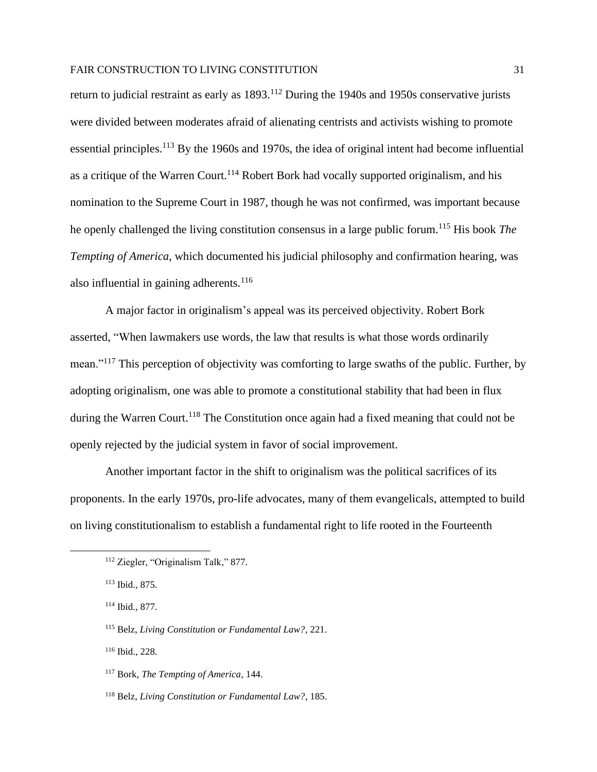return to judicial restraint as early as 1893.<sup>112</sup> During the 1940s and 1950s conservative jurists were divided between moderates afraid of alienating centrists and activists wishing to promote essential principles.<sup>113</sup> By the 1960s and 1970s, the idea of original intent had become influential as a critique of the Warren Court.<sup>114</sup> Robert Bork had vocally supported originalism, and his nomination to the Supreme Court in 1987, though he was not confirmed, was important because he openly challenged the living constitution consensus in a large public forum.<sup>115</sup> His book *The Tempting of America*, which documented his judicial philosophy and confirmation hearing, was also influential in gaining adherents. $116$ 

A major factor in originalism's appeal was its perceived objectivity. Robert Bork asserted, "When lawmakers use words, the law that results is what those words ordinarily mean."<sup>117</sup> This perception of objectivity was comforting to large swaths of the public. Further, by adopting originalism, one was able to promote a constitutional stability that had been in flux during the Warren Court.<sup>118</sup> The Constitution once again had a fixed meaning that could not be openly rejected by the judicial system in favor of social improvement.

Another important factor in the shift to originalism was the political sacrifices of its proponents. In the early 1970s, pro-life advocates, many of them evangelicals, attempted to build on living constitutionalism to establish a fundamental right to life rooted in the Fourteenth

<sup>112</sup> Ziegler, "Originalism Talk," 877.

<sup>113</sup> Ibid., 875.

<sup>114</sup> Ibid., 877.

<sup>115</sup> Belz, *Living Constitution or Fundamental Law?*, 221.

<sup>116</sup> Ibid., 228.

<sup>117</sup> Bork, *The Tempting of America*, 144.

<sup>118</sup> Belz, *Living Constitution or Fundamental Law?*, 185.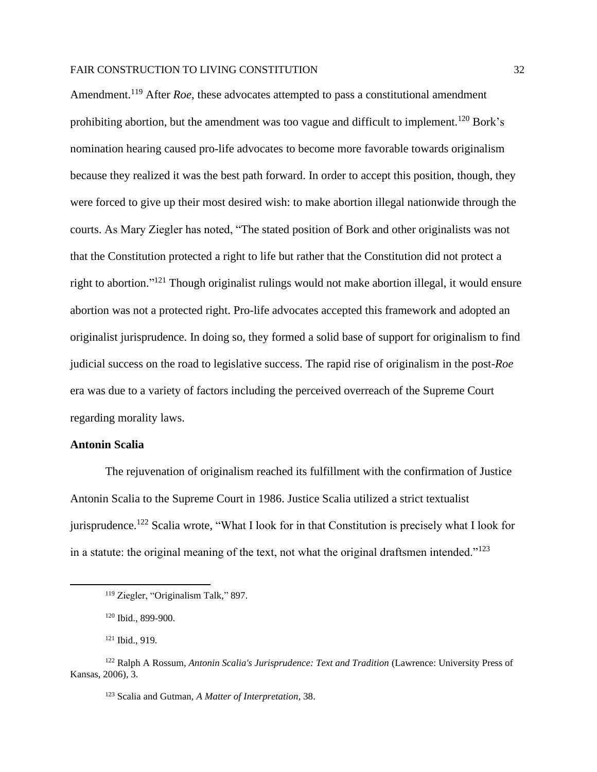Amendment.<sup>119</sup> After *Roe*, these advocates attempted to pass a constitutional amendment prohibiting abortion, but the amendment was too vague and difficult to implement.<sup>120</sup> Bork's nomination hearing caused pro-life advocates to become more favorable towards originalism because they realized it was the best path forward. In order to accept this position, though, they were forced to give up their most desired wish: to make abortion illegal nationwide through the courts. As Mary Ziegler has noted, "The stated position of Bork and other originalists was not that the Constitution protected a right to life but rather that the Constitution did not protect a right to abortion."<sup>121</sup> Though originalist rulings would not make abortion illegal, it would ensure abortion was not a protected right. Pro-life advocates accepted this framework and adopted an originalist jurisprudence. In doing so, they formed a solid base of support for originalism to find judicial success on the road to legislative success. The rapid rise of originalism in the post-*Roe*  era was due to a variety of factors including the perceived overreach of the Supreme Court regarding morality laws.

# **Antonin Scalia**

The rejuvenation of originalism reached its fulfillment with the confirmation of Justice Antonin Scalia to the Supreme Court in 1986. Justice Scalia utilized a strict textualist jurisprudence.<sup>122</sup> Scalia wrote, "What I look for in that Constitution is precisely what I look for in a statute: the original meaning of the text, not what the original draftsmen intended." $123$ 

<sup>119</sup> Ziegler, "Originalism Talk," 897.

<sup>120</sup> Ibid., 899-900.

<sup>121</sup> Ibid., 919.

<sup>122</sup> Ralph A Rossum, *Antonin Scalia's Jurisprudence: Text and Tradition* (Lawrence: University Press of Kansas, 2006), 3.

<sup>123</sup> Scalia and Gutman, *A Matter of Interpretation*, 38.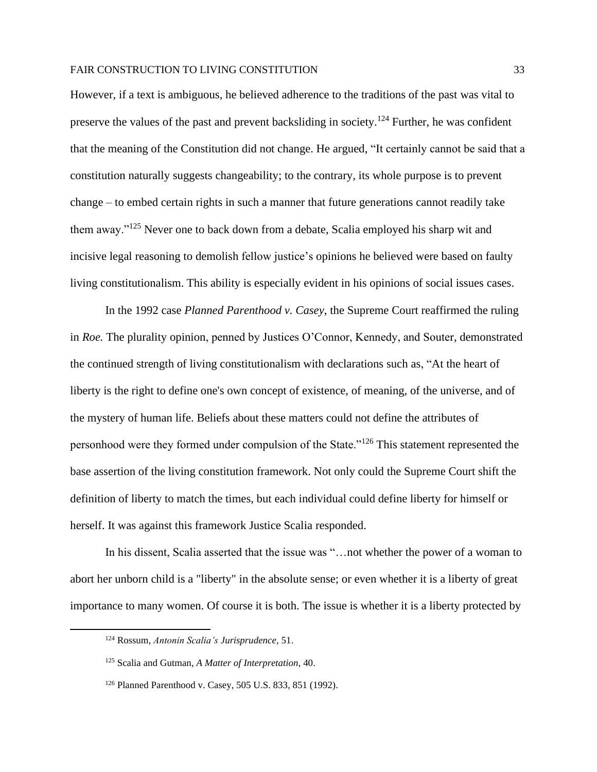However, if a text is ambiguous, he believed adherence to the traditions of the past was vital to preserve the values of the past and prevent backsliding in society.<sup>124</sup> Further, he was confident that the meaning of the Constitution did not change. He argued, "It certainly cannot be said that a constitution naturally suggests changeability; to the contrary, its whole purpose is to prevent change – to embed certain rights in such a manner that future generations cannot readily take them away."<sup>125</sup> Never one to back down from a debate, Scalia employed his sharp wit and incisive legal reasoning to demolish fellow justice's opinions he believed were based on faulty living constitutionalism. This ability is especially evident in his opinions of social issues cases.

In the 1992 case *Planned Parenthood v. Casey*, the Supreme Court reaffirmed the ruling in *Roe.* The plurality opinion, penned by Justices O'Connor, Kennedy, and Souter, demonstrated the continued strength of living constitutionalism with declarations such as, "At the heart of liberty is the right to define one's own concept of existence, of meaning, of the universe, and of the mystery of human life. Beliefs about these matters could not define the attributes of personhood were they formed under compulsion of the State."<sup>126</sup> This statement represented the base assertion of the living constitution framework. Not only could the Supreme Court shift the definition of liberty to match the times, but each individual could define liberty for himself or herself. It was against this framework Justice Scalia responded.

In his dissent, Scalia asserted that the issue was "…not whether the power of a woman to abort her unborn child is a "liberty" in the absolute sense; or even whether it is a liberty of great importance to many women. Of course it is both. The issue is whether it is a liberty protected by

<sup>124</sup> Rossum, *Antonin Scalia's Jurisprudence*, 51.

<sup>125</sup> Scalia and Gutman, *A Matter of Interpretation*, 40.

<sup>126</sup> Planned Parenthood v. Casey, 505 U.S. 833, 851 (1992).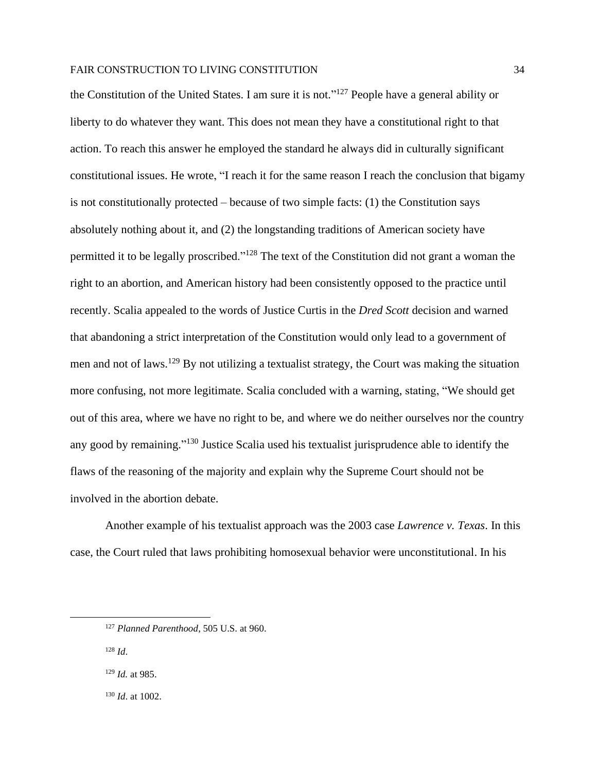the Constitution of the United States. I am sure it is not."<sup>127</sup> People have a general ability or liberty to do whatever they want. This does not mean they have a constitutional right to that action. To reach this answer he employed the standard he always did in culturally significant constitutional issues. He wrote, "I reach it for the same reason I reach the conclusion that bigamy is not constitutionally protected – because of two simple facts: (1) the Constitution says absolutely nothing about it, and (2) the longstanding traditions of American society have permitted it to be legally proscribed."<sup>128</sup> The text of the Constitution did not grant a woman the right to an abortion, and American history had been consistently opposed to the practice until recently. Scalia appealed to the words of Justice Curtis in the *Dred Scott* decision and warned that abandoning a strict interpretation of the Constitution would only lead to a government of men and not of laws.<sup>129</sup> By not utilizing a textualist strategy, the Court was making the situation more confusing, not more legitimate. Scalia concluded with a warning, stating, "We should get out of this area, where we have no right to be, and where we do neither ourselves nor the country any good by remaining."<sup>130</sup> Justice Scalia used his textualist jurisprudence able to identify the flaws of the reasoning of the majority and explain why the Supreme Court should not be involved in the abortion debate.

Another example of his textualist approach was the 2003 case *Lawrence v. Texas*. In this case, the Court ruled that laws prohibiting homosexual behavior were unconstitutional. In his

<sup>128</sup> *Id*.

<sup>129</sup> *Id.* at 985.

<sup>130</sup> *Id*. at 1002.

<sup>127</sup> *Planned Parenthood*, 505 U.S. at 960.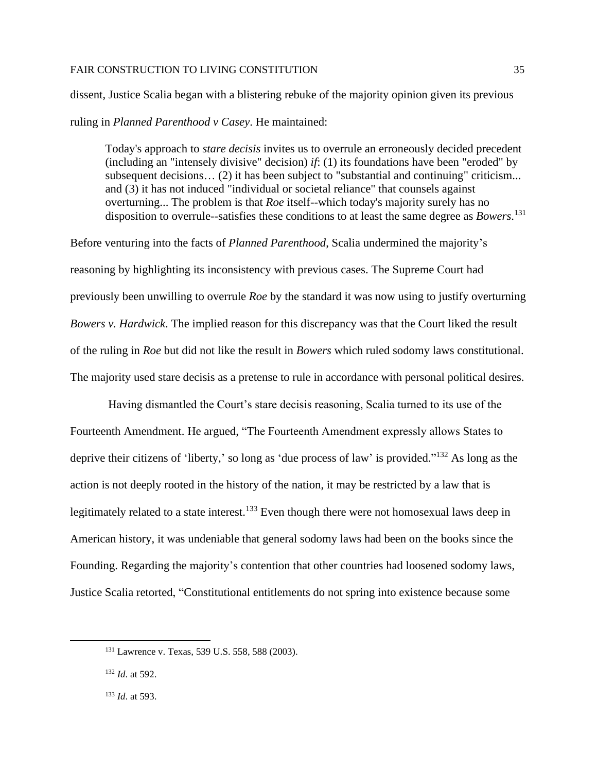dissent, Justice Scalia began with a blistering rebuke of the majority opinion given its previous ruling in *Planned Parenthood v Casey*. He maintained:

Today's approach to *stare decisis* invites us to overrule an erroneously decided precedent (including an "intensely divisive" decision) *if*: (1) its foundations have been "eroded" by subsequent decisions... (2) it has been subject to "substantial and continuing" criticism... and (3) it has not induced "individual or societal reliance" that counsels against overturning... The problem is that *Roe* itself--which today's majority surely has no disposition to overrule--satisfies these conditions to at least the same degree as *Bowers*. 131

Before venturing into the facts of *Planned Parenthood*, Scalia undermined the majority's reasoning by highlighting its inconsistency with previous cases. The Supreme Court had previously been unwilling to overrule *Roe* by the standard it was now using to justify overturning *Bowers v. Hardwick*. The implied reason for this discrepancy was that the Court liked the result of the ruling in *Roe* but did not like the result in *Bowers* which ruled sodomy laws constitutional. The majority used stare decisis as a pretense to rule in accordance with personal political desires.

Having dismantled the Court's stare decisis reasoning, Scalia turned to its use of the Fourteenth Amendment. He argued, "The Fourteenth Amendment expressly allows States to deprive their citizens of 'liberty,' so long as 'due process of law' is provided."<sup>132</sup> As long as the action is not deeply rooted in the history of the nation, it may be restricted by a law that is legitimately related to a state interest.<sup>133</sup> Even though there were not homosexual laws deep in American history, it was undeniable that general sodomy laws had been on the books since the Founding. Regarding the majority's contention that other countries had loosened sodomy laws, Justice Scalia retorted, "Constitutional entitlements do not spring into existence because some

<sup>131</sup> Lawrence v. Texas*,* 539 U.S. 558, 588 (2003).

<sup>132</sup> *Id*. at 592.

<sup>133</sup> *Id*. at 593.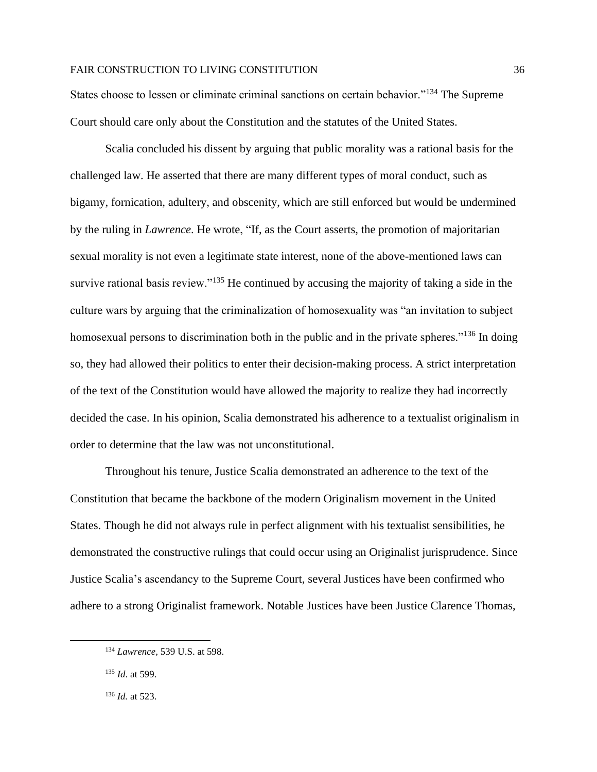States choose to lessen or eliminate criminal sanctions on certain behavior."<sup>134</sup> The Supreme Court should care only about the Constitution and the statutes of the United States.

Scalia concluded his dissent by arguing that public morality was a rational basis for the challenged law. He asserted that there are many different types of moral conduct, such as bigamy, fornication, adultery, and obscenity, which are still enforced but would be undermined by the ruling in *Lawrence*. He wrote, "If, as the Court asserts, the promotion of majoritarian sexual morality is not even a legitimate state interest, none of the above-mentioned laws can survive rational basis review."<sup>135</sup> He continued by accusing the majority of taking a side in the culture wars by arguing that the criminalization of homosexuality was "an invitation to subject homosexual persons to discrimination both in the public and in the private spheres."<sup>136</sup> In doing so, they had allowed their politics to enter their decision-making process. A strict interpretation of the text of the Constitution would have allowed the majority to realize they had incorrectly decided the case. In his opinion, Scalia demonstrated his adherence to a textualist originalism in order to determine that the law was not unconstitutional.

Throughout his tenure, Justice Scalia demonstrated an adherence to the text of the Constitution that became the backbone of the modern Originalism movement in the United States. Though he did not always rule in perfect alignment with his textualist sensibilities, he demonstrated the constructive rulings that could occur using an Originalist jurisprudence. Since Justice Scalia's ascendancy to the Supreme Court, several Justices have been confirmed who adhere to a strong Originalist framework. Notable Justices have been Justice Clarence Thomas,

<sup>134</sup> *Lawrence,* 539 U.S. at 598.

<sup>135</sup> *Id*. at 599.

<sup>136</sup> *Id.* at 523.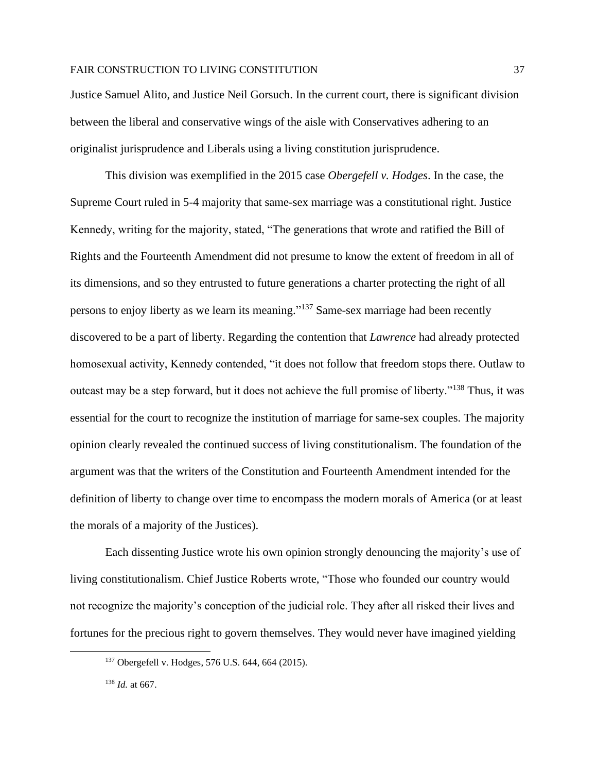Justice Samuel Alito, and Justice Neil Gorsuch. In the current court, there is significant division between the liberal and conservative wings of the aisle with Conservatives adhering to an originalist jurisprudence and Liberals using a living constitution jurisprudence.

This division was exemplified in the 2015 case *Obergefell v. Hodges*. In the case, the Supreme Court ruled in 5-4 majority that same-sex marriage was a constitutional right. Justice Kennedy, writing for the majority, stated, "The generations that wrote and ratified the Bill of Rights and the Fourteenth Amendment did not presume to know the extent of freedom in all of its dimensions, and so they entrusted to future generations a charter protecting the right of all persons to enjoy liberty as we learn its meaning." <sup>137</sup> Same-sex marriage had been recently discovered to be a part of liberty. Regarding the contention that *Lawrence* had already protected homosexual activity, Kennedy contended, "it does not follow that freedom stops there. Outlaw to outcast may be a step forward, but it does not achieve the full promise of liberty."<sup>138</sup> Thus, it was essential for the court to recognize the institution of marriage for same-sex couples. The majority opinion clearly revealed the continued success of living constitutionalism. The foundation of the argument was that the writers of the Constitution and Fourteenth Amendment intended for the definition of liberty to change over time to encompass the modern morals of America (or at least the morals of a majority of the Justices).

Each dissenting Justice wrote his own opinion strongly denouncing the majority's use of living constitutionalism. Chief Justice Roberts wrote, "Those who founded our country would not recognize the majority's conception of the judicial role. They after all risked their lives and fortunes for the precious right to govern themselves. They would never have imagined yielding

<sup>137</sup> Obergefell v. Hodges, 576 U.S. 644, 664 (2015).

<sup>138</sup> *Id.* at 667.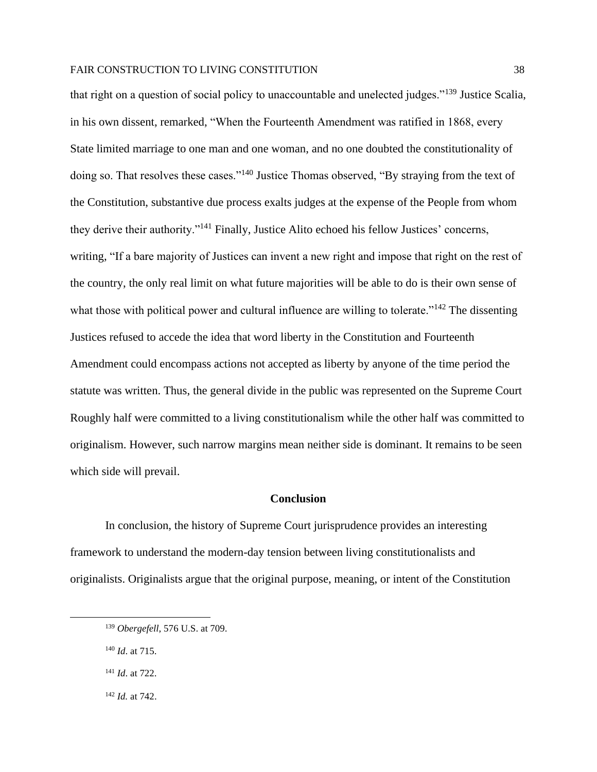that right on a question of social policy to unaccountable and unelected judges."<sup>139</sup> Justice Scalia, in his own dissent, remarked, "When the Fourteenth Amendment was ratified in 1868, every State limited marriage to one man and one woman, and no one doubted the constitutionality of doing so. That resolves these cases."<sup>140</sup> Justice Thomas observed, "By straying from the text of the Constitution, substantive due process exalts judges at the expense of the People from whom they derive their authority."<sup>141</sup> Finally, Justice Alito echoed his fellow Justices' concerns, writing, "If a bare majority of Justices can invent a new right and impose that right on the rest of the country, the only real limit on what future majorities will be able to do is their own sense of what those with political power and cultural influence are willing to tolerate."<sup>142</sup> The dissenting Justices refused to accede the idea that word liberty in the Constitution and Fourteenth Amendment could encompass actions not accepted as liberty by anyone of the time period the statute was written. Thus, the general divide in the public was represented on the Supreme Court Roughly half were committed to a living constitutionalism while the other half was committed to originalism. However, such narrow margins mean neither side is dominant. It remains to be seen which side will prevail.

# **Conclusion**

In conclusion, the history of Supreme Court jurisprudence provides an interesting framework to understand the modern-day tension between living constitutionalists and originalists. Originalists argue that the original purpose, meaning, or intent of the Constitution

<sup>142</sup> *Id.* at 742.

<sup>139</sup> *Obergefell*, 576 U.S. at 709.

<sup>140</sup> *Id*. at 715.

<sup>141</sup> *Id*. at 722.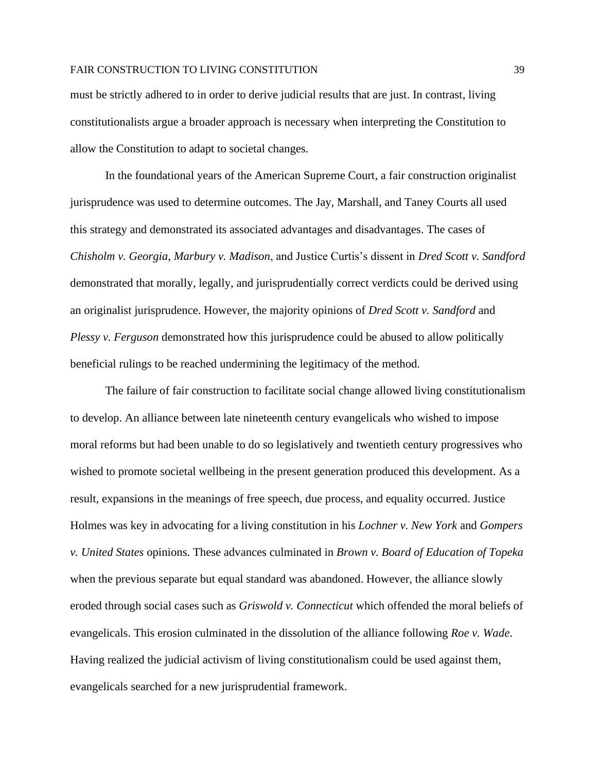must be strictly adhered to in order to derive judicial results that are just. In contrast, living constitutionalists argue a broader approach is necessary when interpreting the Constitution to allow the Constitution to adapt to societal changes.

In the foundational years of the American Supreme Court, a fair construction originalist jurisprudence was used to determine outcomes. The Jay, Marshall, and Taney Courts all used this strategy and demonstrated its associated advantages and disadvantages. The cases of *Chisholm v. Georgia*, *Marbury v. Madison*, and Justice Curtis's dissent in *Dred Scott v. Sandford* demonstrated that morally, legally, and jurisprudentially correct verdicts could be derived using an originalist jurisprudence. However, the majority opinions of *Dred Scott v. Sandford* and *Plessy v. Ferguson* demonstrated how this jurisprudence could be abused to allow politically beneficial rulings to be reached undermining the legitimacy of the method.

The failure of fair construction to facilitate social change allowed living constitutionalism to develop. An alliance between late nineteenth century evangelicals who wished to impose moral reforms but had been unable to do so legislatively and twentieth century progressives who wished to promote societal wellbeing in the present generation produced this development. As a result, expansions in the meanings of free speech, due process, and equality occurred. Justice Holmes was key in advocating for a living constitution in his *Lochner v. New York* and *Gompers v. United States* opinions. These advances culminated in *Brown v. Board of Education of Topeka* when the previous separate but equal standard was abandoned. However, the alliance slowly eroded through social cases such as *Griswold v. Connecticut* which offended the moral beliefs of evangelicals. This erosion culminated in the dissolution of the alliance following *Roe v. Wade*. Having realized the judicial activism of living constitutionalism could be used against them, evangelicals searched for a new jurisprudential framework.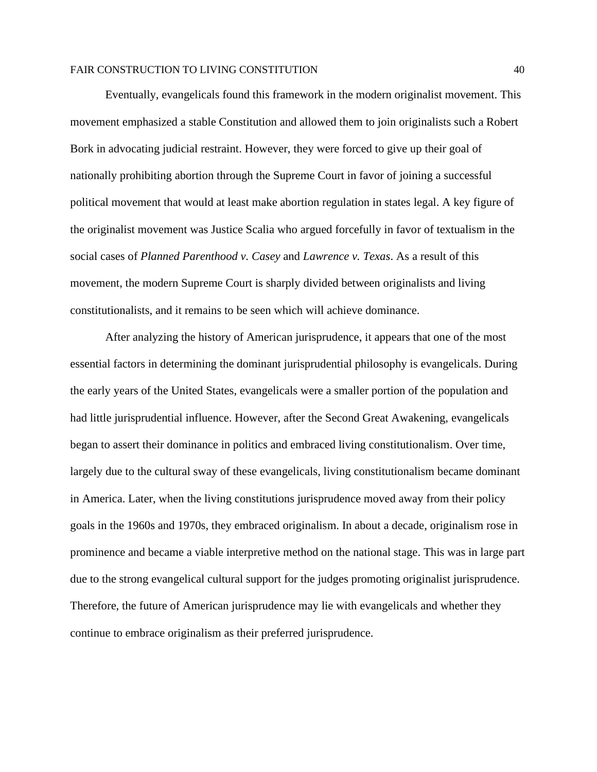Eventually, evangelicals found this framework in the modern originalist movement. This movement emphasized a stable Constitution and allowed them to join originalists such a Robert Bork in advocating judicial restraint. However, they were forced to give up their goal of nationally prohibiting abortion through the Supreme Court in favor of joining a successful political movement that would at least make abortion regulation in states legal. A key figure of the originalist movement was Justice Scalia who argued forcefully in favor of textualism in the social cases of *Planned Parenthood v. Casey* and *Lawrence v. Texas*. As a result of this movement, the modern Supreme Court is sharply divided between originalists and living constitutionalists, and it remains to be seen which will achieve dominance.

After analyzing the history of American jurisprudence, it appears that one of the most essential factors in determining the dominant jurisprudential philosophy is evangelicals. During the early years of the United States, evangelicals were a smaller portion of the population and had little jurisprudential influence. However, after the Second Great Awakening, evangelicals began to assert their dominance in politics and embraced living constitutionalism. Over time, largely due to the cultural sway of these evangelicals, living constitutionalism became dominant in America. Later, when the living constitutions jurisprudence moved away from their policy goals in the 1960s and 1970s, they embraced originalism. In about a decade, originalism rose in prominence and became a viable interpretive method on the national stage. This was in large part due to the strong evangelical cultural support for the judges promoting originalist jurisprudence. Therefore, the future of American jurisprudence may lie with evangelicals and whether they continue to embrace originalism as their preferred jurisprudence.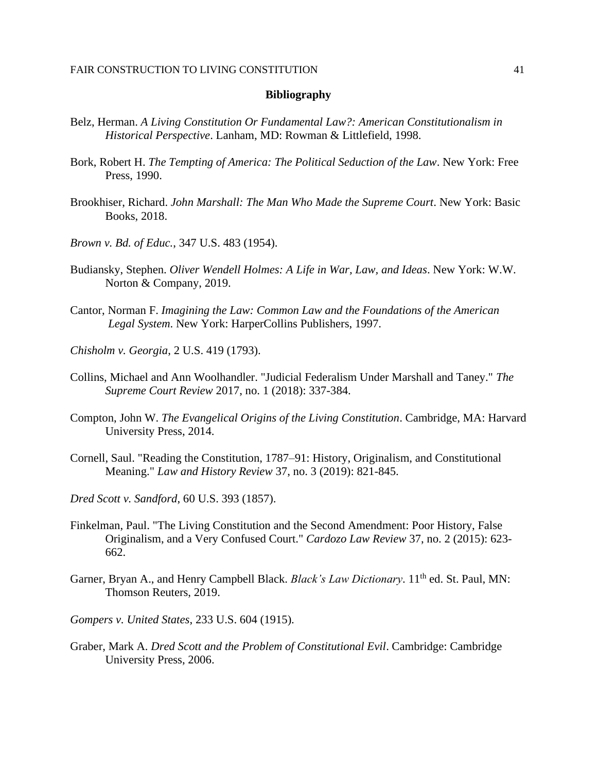#### **Bibliography**

- Belz, Herman. *A Living Constitution Or Fundamental Law?: American Constitutionalism in Historical Perspective*. Lanham, MD: Rowman & Littlefield, 1998.
- Bork, Robert H. *The Tempting of America: The Political Seduction of the Law*. New York: Free Press, 1990.
- Brookhiser, Richard. *John Marshall: The Man Who Made the Supreme Court*. New York: Basic Books, 2018.
- *Brown v. Bd. of Educ.*, 347 U.S. 483 (1954).
- Budiansky, Stephen. *Oliver Wendell Holmes: A Life in War, Law, and Ideas*. New York: W.W. Norton & Company, 2019.
- Cantor, Norman F. *Imagining the Law: Common Law and the Foundations of the American Legal System*. New York: HarperCollins Publishers, 1997.
- *Chisholm v. Georgia*, 2 U.S. 419 (1793).
- Collins, Michael and Ann Woolhandler. "Judicial Federalism Under Marshall and Taney." *The Supreme Court Review* 2017, no. 1 (2018): 337-384.
- Compton, John W. *The Evangelical Origins of the Living Constitution*. Cambridge, MA: Harvard University Press, 2014.
- Cornell, Saul. "Reading the Constitution, 1787–91: History, Originalism, and Constitutional Meaning." *Law and History Review* 37, no. 3 (2019): 821-845.
- *Dred Scott v. Sandford*, 60 U.S. 393 (1857).
- Finkelman, Paul. "The Living Constitution and the Second Amendment: Poor History, False Originalism, and a Very Confused Court." *Cardozo Law Review* 37, no. 2 (2015): 623- 662.
- Garner, Bryan A., and Henry Campbell Black. *Black's Law Dictionary*. 11<sup>th</sup> ed. St. Paul. MN: Thomson Reuters, 2019.
- *Gompers v. United States*, 233 U.S. 604 (1915).
- Graber, Mark A. *Dred Scott and the Problem of Constitutional Evil*. Cambridge: Cambridge University Press, 2006.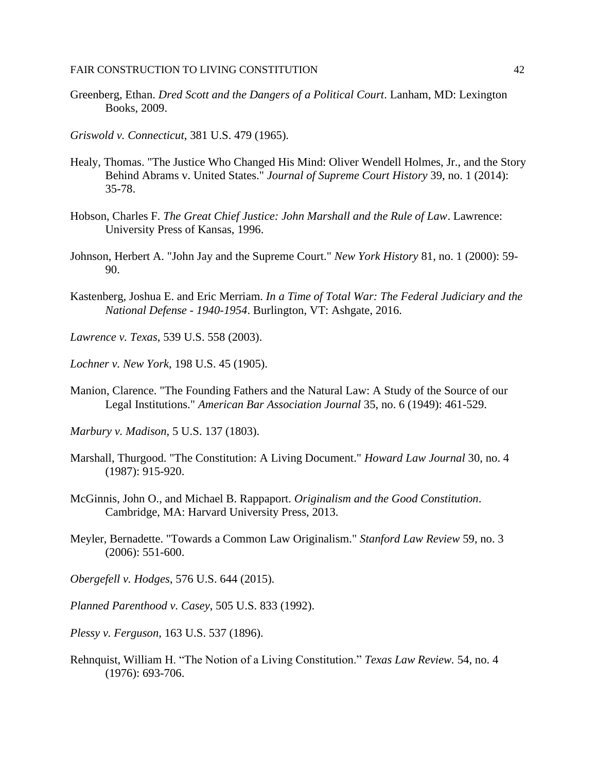- Greenberg, Ethan. *Dred Scott and the Dangers of a Political Court*. Lanham, MD: Lexington Books, 2009.
- *Griswold v. Connecticut*, 381 U.S. 479 (1965).
- Healy, Thomas. "The Justice Who Changed His Mind: Oliver Wendell Holmes, Jr., and the Story Behind Abrams v. United States." *Journal of Supreme Court History* 39, no. 1 (2014): 35-78.
- Hobson, Charles F. *The Great Chief Justice: John Marshall and the Rule of Law*. Lawrence: University Press of Kansas, 1996.
- Johnson, Herbert A. "John Jay and the Supreme Court." *New York History* 81, no. 1 (2000): 59- 90.
- Kastenberg, Joshua E. and Eric Merriam. *In a Time of Total War: The Federal Judiciary and the National Defense - 1940-1954*. Burlington, VT: Ashgate, 2016.
- *Lawrence v. Texas*, 539 U.S. 558 (2003).
- *Lochner v. New York*, 198 U.S. 45 (1905).
- Manion, Clarence. "The Founding Fathers and the Natural Law: A Study of the Source of our Legal Institutions." *American Bar Association Journal* 35, no. 6 (1949): 461-529.
- *Marbury v. Madison*, 5 U.S. 137 (1803).
- Marshall, Thurgood. "The Constitution: A Living Document." *Howard Law Journal* 30, no. 4 (1987): 915-920.
- McGinnis, John O., and Michael B. Rappaport. *Originalism and the Good Constitution*. Cambridge, MA: Harvard University Press, 2013.
- Meyler, Bernadette. "Towards a Common Law Originalism." *Stanford Law Review* 59, no. 3 (2006): 551-600.
- *Obergefell v. Hodges*, 576 U.S. 644 (2015).
- *Planned Parenthood v. Casey*, 505 U.S. 833 (1992).
- *Plessy v. Ferguson*, 163 U.S. 537 (1896).
- Rehnquist, William H. "The Notion of a Living Constitution." *Texas Law Review.* 54, no. 4 (1976): 693-706.